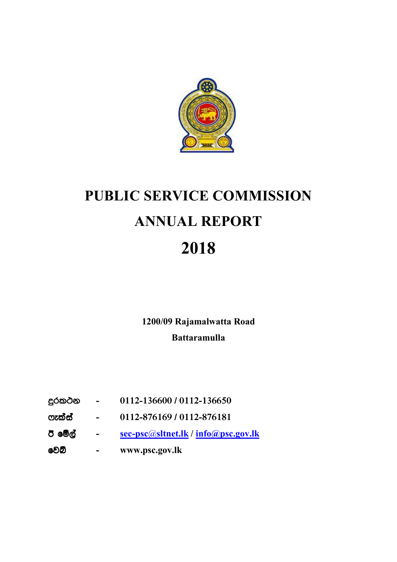

# **PUBLIC SERVICE COMMISSION ANNUAL REPORT 2018**

**1200/09 Rajamalwatta Road Battaramulla** 

- දුරකථන к **- 0112-136600 / 0112-136650**
- ෆැක්ස් **- 0112-876169 / 0112-876181**
- **sec-psc@sltnet.lk / info@psc.gov.lk**
- **www.psc.gov.lk**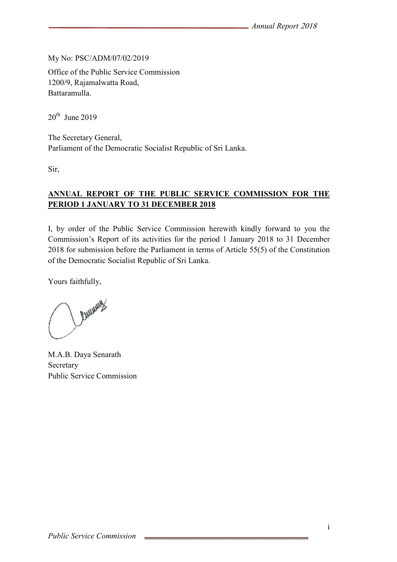My No: PSC/ADM/07/02/2019 Office of the Public Service Commission 1200/9, Rajamalwatta Road, Battaramulla.

 $20^{th}$  June 2019

The Secretary General, Parliament of the Democratic Socialist Republic of Sri Lanka.

Sir,

## **ANNUAL REPORT OF THE PUBLIC SERVICE COMMISSION FOR THE PERIOD 1 JANUARY TO 31 DECEMBER 2018**

I, by order of the Public Service Commission herewith kindly forward to you the Commission's Report of its activities for the period 1 January 2018 to 31 December 2018 for submission before the Parliament in terms of Article 55(5) of the Constitution of the Democratic Socialist Republic of Sri Lanka.

Yours faithfully,

Bunning /

M.A.B. Daya Senarath Secretary Public Service Commission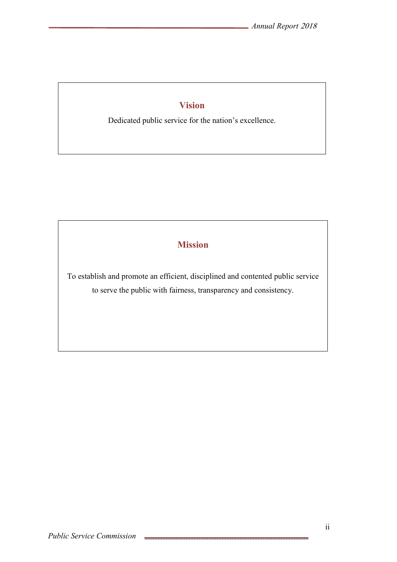## **Vision**

Dedicated public service for the nation's excellence.

# **Mission**

To establish and promote an efficient, disciplined and contented public service to serve the public with fairness, transparency and consistency.

.<br>2006. 2006. 2006. 2006. 2006. 2006. 2006. 2006. 2006. 2006. 2006. 2006. 2006. 2006. 2006. 2006. 2006. 2006. 2006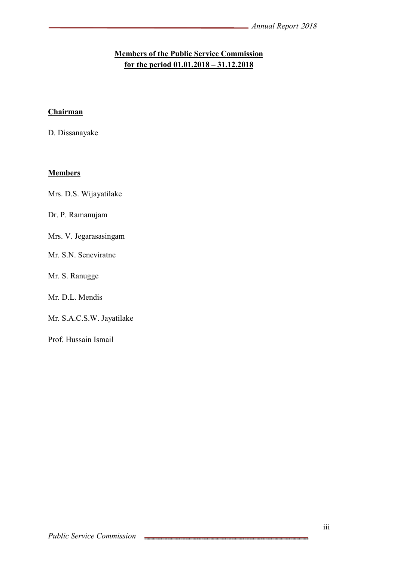## **Members of the Public Service Commission for the period 01.01.2018 – 31.12.2018**

#### **Chairman**

D. Dissanayake

#### **Members**

Mrs. D.S. Wijayatilake

#### Dr. P. Ramanujam

Mrs. V. Jegarasasingam

#### Mr. S.N. Seneviratne

Mr. S. Ranugge

Mr. D.L. Mendis

Mr. S.A.C.S.W. Jayatilake

Prof. Hussain Ismail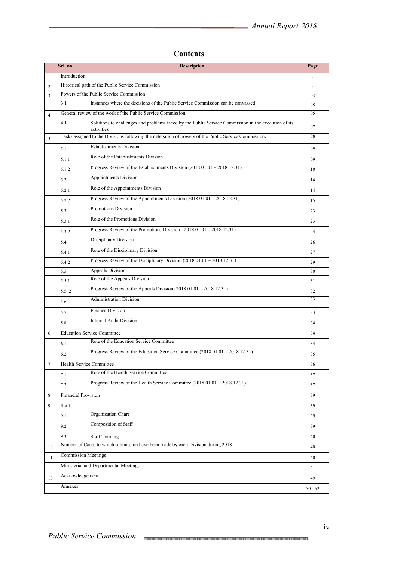|              | Srl. no.                                         | <b>Description</b>                                                                                                | Page      |
|--------------|--------------------------------------------------|-------------------------------------------------------------------------------------------------------------------|-----------|
| $\mathbf{1}$ | Introduction                                     |                                                                                                                   | 01        |
| 2            | Historical path of the Public Service Commission |                                                                                                                   | 01        |
| 3            |                                                  | Powers of the Public Service Commission                                                                           | 03        |
|              | 3.1                                              | Instances where the decisions of the Public Service Commission can be canvassed                                   | 05        |
| 4            |                                                  | General review of the work of the Public Service Commission                                                       | 05        |
|              | 4.1                                              | Solutions to challenges and problems faced by the Public Service Commission in the execution of its<br>activities | 07        |
| 5            |                                                  | Tasks assigned to the Divisions following the delegation of powers of the Public Service Commission.              | 08        |
|              | 5.1                                              | <b>Establishments Division</b>                                                                                    | 09        |
|              | 5.1.1                                            | Role of the Establishments Division                                                                               | 09        |
|              | 5.1.2                                            | Progress Review of the Establishments Division (2018.01.01 - 2018.12.31)                                          | 10        |
|              | 5.2                                              | Appointments Division                                                                                             | 14        |
|              | 5.2.1                                            | Role of the Appointments Division                                                                                 | 14        |
|              | 5.2.2                                            | Progress Review of the Appointments Division (2018.01.01 - 2018.12.31)                                            | 15        |
|              | 5.3                                              | Promotions Division                                                                                               | 23        |
|              | 5.3.1                                            | Role of the Promotions Division                                                                                   | 23        |
|              | 5.3.2                                            | Progress Review of the Promotions Division (2018.01.01 - 2018.12.31)                                              | 24        |
|              | 5.4                                              | <b>Disciplinary Division</b>                                                                                      | 26        |
|              | 5.4.1                                            | Role of the Disciplinary Division                                                                                 | 27        |
|              | 5.4.2                                            | Progress Review of the Disciplinary Division $(2018.01.01 - 2018.12.31)$                                          | 29        |
|              | 5.5                                              | Appeals Division                                                                                                  | 30        |
|              | 5.5.1                                            | Role of the Appeals Division                                                                                      | 31        |
|              | 5.5.2                                            | Progress Review of the Appeals Division (2018.01.01 - 2018.12.31)                                                 | 32        |
|              | 5.6                                              | <b>Administration Division</b>                                                                                    | 33        |
|              | 5.7                                              | Finance Division                                                                                                  | 33        |
|              | 5.8                                              | <b>Internal Audit Division</b>                                                                                    | 34        |
| 6            |                                                  | <b>Education Service Committee</b>                                                                                | 34        |
|              | 6.1                                              | Role of the Education Service Committee                                                                           | 34        |
|              | 6.2                                              | Progress Review of the Education Service Committee (2018.01.01 - 2018.12.31)                                      | 35        |
|              |                                                  | Health Service Committee                                                                                          | 36        |
|              | 7.1                                              | Role of the Health Service Committee                                                                              | 37        |
|              | 7.2                                              | Progress Review of the Health Service Committee (2018.01.01 - 2018.12.31)                                         | 37        |
| 8            | <b>Financial Provision</b>                       |                                                                                                                   | 39        |
| 9            | Staff                                            |                                                                                                                   | 39        |
|              | 9.1                                              | Organization Chart                                                                                                | 39        |
|              | 9.2                                              | Composition of Staff                                                                                              | 39        |
|              | 9.3                                              | <b>Staff Training</b>                                                                                             | 40        |
| 10           |                                                  | Number of Cases to which submission have been made by each Division during 2018                                   | 40        |
| 11           | <b>Commission Meetings</b>                       |                                                                                                                   | 40        |
| 12           |                                                  | Ministerial and Departmental Meetings                                                                             | 41        |
| 13           | Acknowledgement                                  |                                                                                                                   | 49        |
|              | Annexes                                          |                                                                                                                   | $50 - 52$ |
|              |                                                  |                                                                                                                   |           |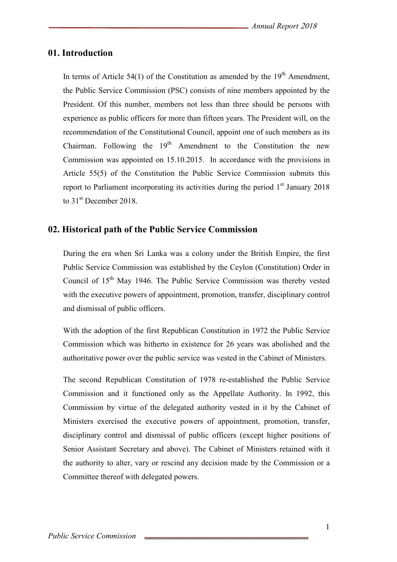#### **01. Introduction**

In terms of Article 54(1) of the Constitution as amended by the  $19<sup>th</sup>$  Amendment, the Public Service Commission (PSC) consists of nine members appointed by the President. Of this number, members not less than three should be persons with experience as public officers for more than fifteen years. The President will, on the recommendation of the Constitutional Council, appoint one of such members as its Chairman. Following the  $19<sup>th</sup>$  Amendment to the Constitution the new Commission was appointed on 15.10.2015. In accordance with the provisions in Article 55(5) of the Constitution the Public Service Commission submits this report to Parliament incorporating its activities during the period  $1<sup>st</sup>$  January 2018 to 31<sup>st</sup> December 2018.

#### **02. Historical path of the Public Service Commission**

During the era when Sri Lanka was a colony under the British Empire, the first Public Service Commission was established by the Ceylon (Constitution) Order in Council of 15<sup>th</sup> May 1946. The Public Service Commission was thereby vested with the executive powers of appointment, promotion, transfer, disciplinary control and dismissal of public officers.

With the adoption of the first Republican Constitution in 1972 the Public Service Commission which was hitherto in existence for 26 years was abolished and the authoritative power over the public service was vested in the Cabinet of Ministers.

The second Republican Constitution of 1978 re-established the Public Service Commission and it functioned only as the Appellate Authority. In 1992, this Commission by virtue of the delegated authority vested in it by the Cabinet of Ministers exercised the executive powers of appointment, promotion, transfer, disciplinary control and dismissal of public officers (except higher positions of Senior Assistant Secretary and above). The Cabinet of Ministers retained with it the authority to alter, vary or rescind any decision made by the Commission or a Committee thereof with delegated powers.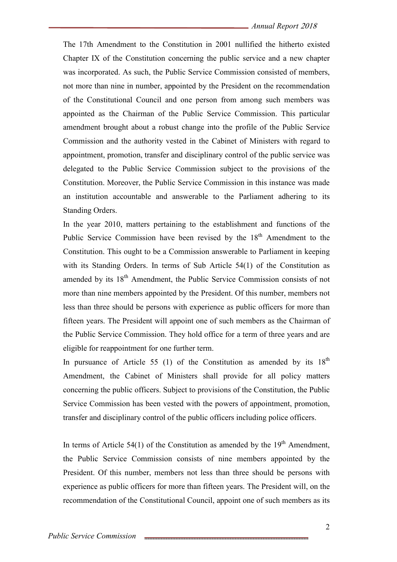The 17th Amendment to the Constitution in 2001 nullified the hitherto existed Chapter IX of the Constitution concerning the public service and a new chapter was incorporated. As such, the Public Service Commission consisted of members, not more than nine in number, appointed by the President on the recommendation of the Constitutional Council and one person from among such members was appointed as the Chairman of the Public Service Commission. This particular amendment brought about a robust change into the profile of the Public Service Commission and the authority vested in the Cabinet of Ministers with regard to appointment, promotion, transfer and disciplinary control of the public service was delegated to the Public Service Commission subject to the provisions of the Constitution. Moreover, the Public Service Commission in this instance was made an institution accountable and answerable to the Parliament adhering to its Standing Orders.

In the year 2010, matters pertaining to the establishment and functions of the Public Service Commission have been revised by the  $18<sup>th</sup>$  Amendment to the Constitution. This ought to be a Commission answerable to Parliament in keeping with its Standing Orders. In terms of Sub Article 54(1) of the Constitution as amended by its 18<sup>th</sup> Amendment, the Public Service Commission consists of not more than nine members appointed by the President. Of this number, members not less than three should be persons with experience as public officers for more than fifteen years. The President will appoint one of such members as the Chairman of the Public Service Commission. They hold office for a term of three years and are eligible for reappointment for one further term.

In pursuance of Article 55 (1) of the Constitution as amended by its  $18<sup>th</sup>$ Amendment, the Cabinet of Ministers shall provide for all policy matters concerning the public officers. Subject to provisions of the Constitution, the Public Service Commission has been vested with the powers of appointment, promotion, transfer and disciplinary control of the public officers including police officers.

In terms of Article 54(1) of the Constitution as amended by the  $19<sup>th</sup>$  Amendment, the Public Service Commission consists of nine members appointed by the President. Of this number, members not less than three should be persons with experience as public officers for more than fifteen years. The President will, on the recommendation of the Constitutional Council, appoint one of such members as its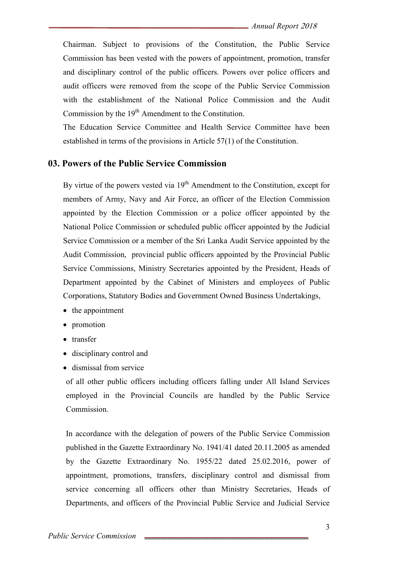Chairman. Subject to provisions of the Constitution, the Public Service Commission has been vested with the powers of appointment, promotion, transfer and disciplinary control of the public officers. Powers over police officers and audit officers were removed from the scope of the Public Service Commission with the establishment of the National Police Commission and the Audit Commission by the  $19<sup>th</sup>$  Amendment to the Constitution.

The Education Service Committee and Health Service Committee have been established in terms of the provisions in Article 57(1) of the Constitution.

#### **03. Powers of the Public Service Commission**

By virtue of the powers vested via  $19<sup>th</sup>$  Amendment to the Constitution, except for members of Army, Navy and Air Force, an officer of the Election Commission appointed by the Election Commission or a police officer appointed by the National Police Commission or scheduled public officer appointed by the Judicial Service Commission or a member of the Sri Lanka Audit Service appointed by the Audit Commission, provincial public officers appointed by the Provincial Public Service Commissions, Ministry Secretaries appointed by the President, Heads of Department appointed by the Cabinet of Ministers and employees of Public Corporations, Statutory Bodies and Government Owned Business Undertakings,

- the appointment
- promotion
- transfer
- disciplinary control and
- dismissal from service

of all other public officers including officers falling under All Island Services employed in the Provincial Councils are handled by the Public Service Commission.

In accordance with the delegation of powers of the Public Service Commission published in the Gazette Extraordinary No. 1941/41 dated 20.11.2005 as amended by the Gazette Extraordinary No. 1955/22 dated 25.02.2016, power of appointment, promotions, transfers, disciplinary control and dismissal from service concerning all officers other than Ministry Secretaries, Heads of Departments, and officers of the Provincial Public Service and Judicial Service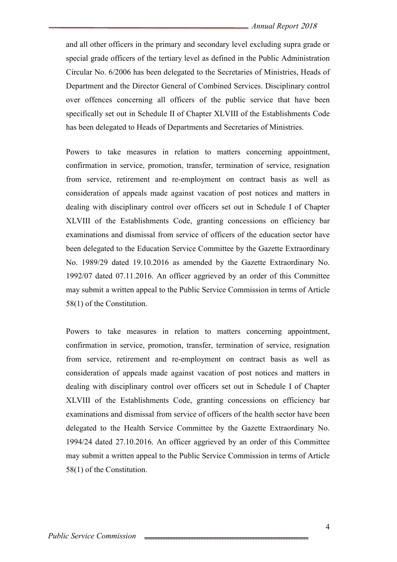and all other officers in the primary and secondary level excluding supra grade or special grade officers of the tertiary level as defined in the Public Administration Circular No. 6/2006 has been delegated to the Secretaries of Ministries, Heads of Department and the Director General of Combined Services. Disciplinary control over offences concerning all officers of the public service that have been specifically set out in Schedule II of Chapter XLVIII of the Establishments Code has been delegated to Heads of Departments and Secretaries of Ministries.

Powers to take measures in relation to matters concerning appointment, confirmation in service, promotion, transfer, termination of service, resignation from service, retirement and re-employment on contract basis as well as consideration of appeals made against vacation of post notices and matters in dealing with disciplinary control over officers set out in Schedule I of Chapter XLVIII of the Establishments Code, granting concessions on efficiency bar examinations and dismissal from service of officers of the education sector have been delegated to the Education Service Committee by the Gazette Extraordinary No. 1989/29 dated 19.10.2016 as amended by the Gazette Extraordinary No. 1992/07 dated 07.11.2016. An officer aggrieved by an order of this Committee may submit a written appeal to the Public Service Commission in terms of Article 58(1) of the Constitution.

Powers to take measures in relation to matters concerning appointment, confirmation in service, promotion, transfer, termination of service, resignation from service, retirement and re-employment on contract basis as well as consideration of appeals made against vacation of post notices and matters in dealing with disciplinary control over officers set out in Schedule I of Chapter XLVIII of the Establishments Code, granting concessions on efficiency bar examinations and dismissal from service of officers of the health sector have been delegated to the Health Service Committee by the Gazette Extraordinary No. 1994/24 dated 27.10.2016. An officer aggrieved by an order of this Committee may submit a written appeal to the Public Service Commission in terms of Article 58(1) of the Constitution.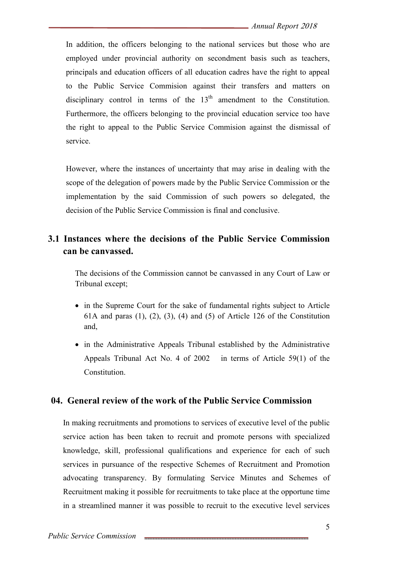In addition, the officers belonging to the national services but those who are employed under provincial authority on secondment basis such as teachers, principals and education officers of all education cadres have the right to appeal to the Public Service Commision against their transfers and matters on disciplinary control in terms of the  $13<sup>th</sup>$  amendment to the Constitution. Furthermore, the officers belonging to the provincial education service too have the right to appeal to the Public Service Commision against the dismissal of service.

However, where the instances of uncertainty that may arise in dealing with the scope of the delegation of powers made by the Public Service Commission or the implementation by the said Commission of such powers so delegated, the decision of the Public Service Commission is final and conclusive.

# **3.1 Instances where the decisions of the Public Service Commission can be canvassed.**

The decisions of the Commission cannot be canvassed in any Court of Law or Tribunal except;

- in the Supreme Court for the sake of fundamental rights subject to Article 61A and paras  $(1)$ ,  $(2)$ ,  $(3)$ ,  $(4)$  and  $(5)$  of Article 126 of the Constitution and,
- in the Administrative Appeals Tribunal established by the Administrative Appeals Tribunal Act No. 4 of 2002 in terms of Article 59(1) of the Constitution.

#### **04. General review of the work of the Public Service Commission**

In making recruitments and promotions to services of executive level of the public service action has been taken to recruit and promote persons with specialized knowledge, skill, professional qualifications and experience for each of such services in pursuance of the respective Schemes of Recruitment and Promotion advocating transparency. By formulating Service Minutes and Schemes of Recruitment making it possible for recruitments to take place at the opportune time in a streamlined manner it was possible to recruit to the executive level services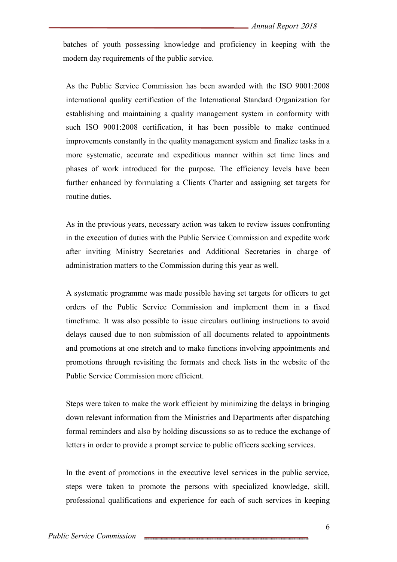batches of youth possessing knowledge and proficiency in keeping with the modern day requirements of the public service.

As the Public Service Commission has been awarded with the ISO 9001:2008 international quality certification of the International Standard Organization for establishing and maintaining a quality management system in conformity with such ISO 9001:2008 certification, it has been possible to make continued improvements constantly in the quality management system and finalize tasks in a more systematic, accurate and expeditious manner within set time lines and phases of work introduced for the purpose. The efficiency levels have been further enhanced by formulating a Clients Charter and assigning set targets for routine duties.

As in the previous years, necessary action was taken to review issues confronting in the execution of duties with the Public Service Commission and expedite work after inviting Ministry Secretaries and Additional Secretaries in charge of administration matters to the Commission during this year as well.

A systematic programme was made possible having set targets for officers to get orders of the Public Service Commission and implement them in a fixed timeframe. It was also possible to issue circulars outlining instructions to avoid delays caused due to non submission of all documents related to appointments and promotions at one stretch and to make functions involving appointments and promotions through revisiting the formats and check lists in the website of the Public Service Commission more efficient.

Steps were taken to make the work efficient by minimizing the delays in bringing down relevant information from the Ministries and Departments after dispatching formal reminders and also by holding discussions so as to reduce the exchange of letters in order to provide a prompt service to public officers seeking services.

In the event of promotions in the executive level services in the public service, steps were taken to promote the persons with specialized knowledge, skill, professional qualifications and experience for each of such services in keeping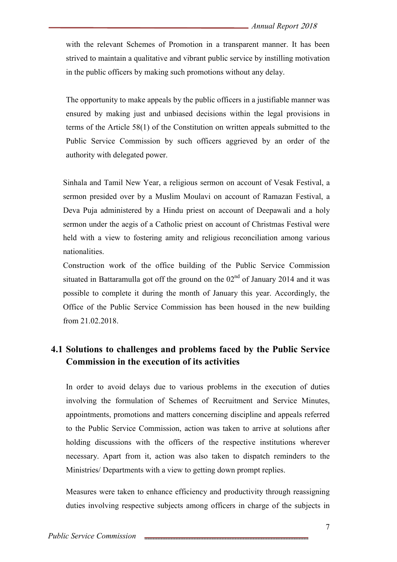with the relevant Schemes of Promotion in a transparent manner. It has been strived to maintain a qualitative and vibrant public service by instilling motivation in the public officers by making such promotions without any delay.

The opportunity to make appeals by the public officers in a justifiable manner was ensured by making just and unbiased decisions within the legal provisions in terms of the Article 58(1) of the Constitution on written appeals submitted to the Public Service Commission by such officers aggrieved by an order of the authority with delegated power.

Sinhala and Tamil New Year, a religious sermon on account of Vesak Festival, a sermon presided over by a Muslim Moulavi on account of Ramazan Festival, a Deva Puja administered by a Hindu priest on account of Deepawali and a holy sermon under the aegis of a Catholic priest on account of Christmas Festival were held with a view to fostering amity and religious reconciliation among various nationalities.

Construction work of the office building of the Public Service Commission situated in Battaramulla got off the ground on the  $02<sup>nd</sup>$  of January 2014 and it was possible to complete it during the month of January this year. Accordingly, the Office of the Public Service Commission has been housed in the new building from 21.02.2018.

# **4.1 Solutions to challenges and problems faced by the Public Service Commission in the execution of its activities**

In order to avoid delays due to various problems in the execution of duties involving the formulation of Schemes of Recruitment and Service Minutes, appointments, promotions and matters concerning discipline and appeals referred to the Public Service Commission, action was taken to arrive at solutions after holding discussions with the officers of the respective institutions wherever necessary. Apart from it, action was also taken to dispatch reminders to the Ministries/ Departments with a view to getting down prompt replies.

Measures were taken to enhance efficiency and productivity through reassigning duties involving respective subjects among officers in charge of the subjects in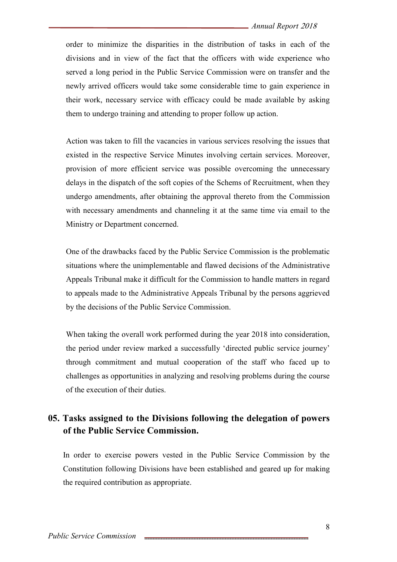order to minimize the disparities in the distribution of tasks in each of the divisions and in view of the fact that the officers with wide experience who served a long period in the Public Service Commission were on transfer and the newly arrived officers would take some considerable time to gain experience in their work, necessary service with efficacy could be made available by asking them to undergo training and attending to proper follow up action.

Action was taken to fill the vacancies in various services resolving the issues that existed in the respective Service Minutes involving certain services. Moreover, provision of more efficient service was possible overcoming the unnecessary delays in the dispatch of the soft copies of the Schems of Recruitment, when they undergo amendments, after obtaining the approval thereto from the Commission with necessary amendments and channeling it at the same time via email to the Ministry or Department concerned.

One of the drawbacks faced by the Public Service Commission is the problematic situations where the unimplementable and flawed decisions of the Administrative Appeals Tribunal make it difficult for the Commission to handle matters in regard to appeals made to the Administrative Appeals Tribunal by the persons aggrieved by the decisions of the Public Service Commission.

When taking the overall work performed during the year 2018 into consideration, the period under review marked a successfully 'directed public service journey' through commitment and mutual cooperation of the staff who faced up to challenges as opportunities in analyzing and resolving problems during the course of the execution of their duties.

# **05. Tasks assigned to the Divisions following the delegation of powers of the Public Service Commission.**

In order to exercise powers vested in the Public Service Commission by the Constitution following Divisions have been established and geared up for making the required contribution as appropriate.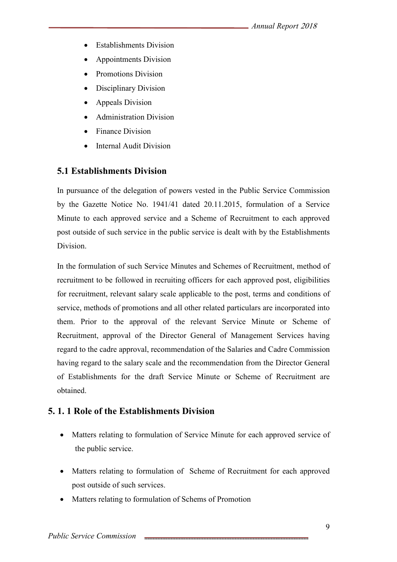- Establishments Division
- Appointments Division
- Promotions Division
- Disciplinary Division
- Appeals Division
- Administration Division
- Finance Division
- Internal Audit Division

## **5.1 Establishments Division**

In pursuance of the delegation of powers vested in the Public Service Commission by the Gazette Notice No. 1941/41 dated 20.11.2015, formulation of a Service Minute to each approved service and a Scheme of Recruitment to each approved post outside of such service in the public service is dealt with by the Establishments Division.

In the formulation of such Service Minutes and Schemes of Recruitment, method of recruitment to be followed in recruiting officers for each approved post, eligibilities for recruitment, relevant salary scale applicable to the post, terms and conditions of service, methods of promotions and all other related particulars are incorporated into them. Prior to the approval of the relevant Service Minute or Scheme of Recruitment, approval of the Director General of Management Services having regard to the cadre approval, recommendation of the Salaries and Cadre Commission having regard to the salary scale and the recommendation from the Director General of Establishments for the draft Service Minute or Scheme of Recruitment are obtained.

# **5. 1. 1 Role of the Establishments Division**

- Matters relating to formulation of Service Minute for each approved service of the public service.
- Matters relating to formulation of Scheme of Recruitment for each approved post outside of such services.
- Matters relating to formulation of Schems of Promotion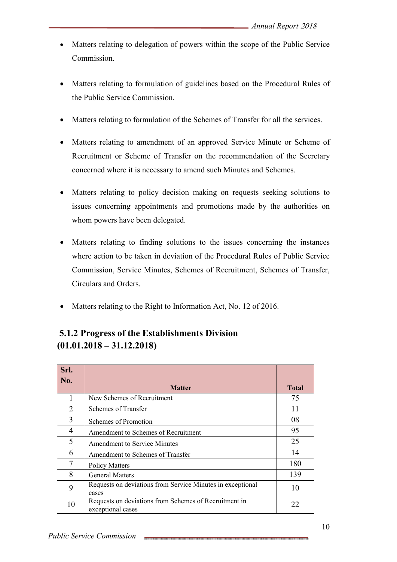- Matters relating to delegation of powers within the scope of the Public Service **Commission**
- Matters relating to formulation of guidelines based on the Procedural Rules of the Public Service Commission.
- Matters relating to formulation of the Schemes of Transfer for all the services.
- Matters relating to amendment of an approved Service Minute or Scheme of Recruitment or Scheme of Transfer on the recommendation of the Secretary concerned where it is necessary to amend such Minutes and Schemes.
- Matters relating to policy decision making on requests seeking solutions to issues concerning appointments and promotions made by the authorities on whom powers have been delegated.
- Matters relating to finding solutions to the issues concerning the instances where action to be taken in deviation of the Procedural Rules of Public Service Commission, Service Minutes, Schemes of Recruitment, Schemes of Transfer, Circulars and Orders.
- Matters relating to the Right to Information Act, No. 12 of 2016.

| Srl.           |                                                                            |              |
|----------------|----------------------------------------------------------------------------|--------------|
| No.            | <b>Matter</b>                                                              | <b>Total</b> |
|                | New Schemes of Recruitment                                                 | 75           |
| $\overline{2}$ | Schemes of Transfer                                                        | 11           |
| 3              | Schemes of Promotion                                                       | 08           |
| 4              | Amendment to Schemes of Recruitment                                        | 95           |
| 5              | <b>Amendment to Service Minutes</b>                                        | 25           |
| 6              | Amendment to Schemes of Transfer                                           | 14           |
| 7              | <b>Policy Matters</b>                                                      | 180          |
| 8              | <b>General Matters</b>                                                     | 139          |
| 9              | Requests on deviations from Service Minutes in exceptional<br>cases        | 10           |
| 10             | Requests on deviations from Schemes of Recruitment in<br>exceptional cases | 22           |

# **5.1.2 Progress of the Establishments Division (01.01.2018 – 31.12.2018)**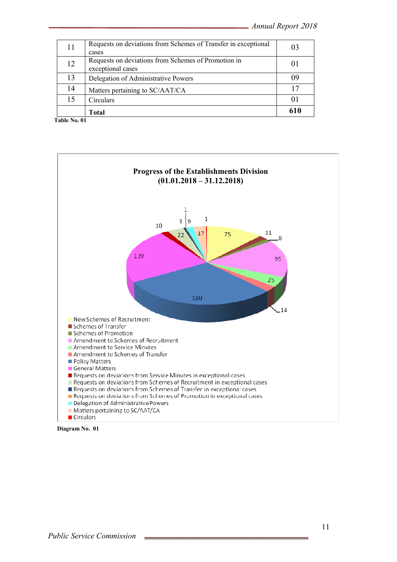| 11 | Requests on deviations from Schemes of Transfer in exceptional<br>cases  |          |
|----|--------------------------------------------------------------------------|----------|
| 12 | Requests on deviations from Schemes of Promotion in<br>exceptional cases | $\Omega$ |
| 13 | Delegation of Administrative Powers                                      | 09       |
| 14 | Matters pertaining to SC/AAT/CA                                          |          |
| 15 | Circulars                                                                |          |
|    | Total                                                                    | 610      |



**Diagram No. 01**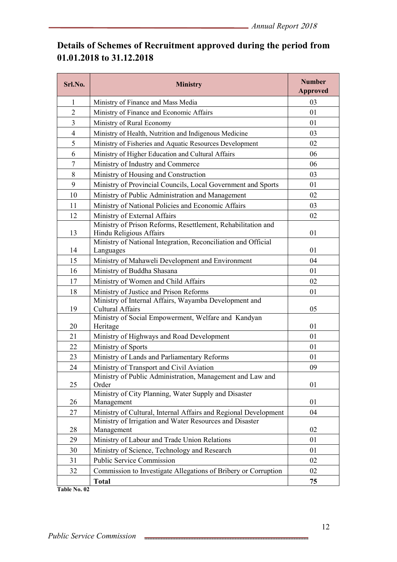# **Details of Schemes of Recruitment approved during the period from 01.01.2018 to 31.12.2018**

| Srl.No.        | <b>Ministry</b>                                                                         | <b>Number</b><br><b>Approved</b> |
|----------------|-----------------------------------------------------------------------------------------|----------------------------------|
| 1              | Ministry of Finance and Mass Media                                                      | 03                               |
| $\overline{2}$ | Ministry of Finance and Economic Affairs                                                | 01                               |
| 3              | Ministry of Rural Economy                                                               | 01                               |
| $\overline{4}$ | Ministry of Health, Nutrition and Indigenous Medicine                                   | 03                               |
| 5              | Ministry of Fisheries and Aquatic Resources Development                                 | 02                               |
| 6              | Ministry of Higher Education and Cultural Affairs                                       | 06                               |
| $\tau$         | Ministry of Industry and Commerce                                                       | 06                               |
| 8              | Ministry of Housing and Construction                                                    | 03                               |
| 9              | Ministry of Provincial Councils, Local Government and Sports                            | 01                               |
| 10             | Ministry of Public Administration and Management                                        | 02                               |
| 11             | Ministry of National Policies and Economic Affairs                                      | 03                               |
| 12             | Ministry of External Affairs                                                            | 02                               |
| 13             | Ministry of Prison Reforms, Resettlement, Rehabilitation and<br>Hindu Religious Affairs | 01                               |
| 14             | Ministry of National Integration, Reconciliation and Official<br>Languages              | 01                               |
| 15             | Ministry of Mahaweli Development and Environment                                        | 04                               |
| 16             | Ministry of Buddha Shasana                                                              | 01                               |
| 17             | Ministry of Women and Child Affairs                                                     | 02                               |
| 18             | Ministry of Justice and Prison Reforms                                                  | 01                               |
| 19             | Ministry of Internal Affairs, Wayamba Development and<br><b>Cultural Affairs</b>        | 05                               |
| 20             | Ministry of Social Empowerment, Welfare and Kandyan<br>Heritage                         | 01                               |
| 21             | Ministry of Highways and Road Development                                               | 01                               |
| 22             | Ministry of Sports                                                                      | 01                               |
| 23             | Ministry of Lands and Parliamentary Reforms                                             | 01                               |
| 24             | Ministry of Transport and Civil Aviation                                                | 09                               |
| 25             | Ministry of Public Administration, Management and Law and<br>Order                      | 01                               |
| 26             | Ministry of City Planning, Water Supply and Disaster<br>Management                      | 01                               |
| 27             | Ministry of Cultural, Internal Affairs and Regional Development                         | 04                               |
| 28             | Ministry of Irrigation and Water Resources and Disaster<br>Management                   | 02                               |
| 29             | Ministry of Labour and Trade Union Relations                                            | 01                               |
| 30             | Ministry of Science, Technology and Research                                            | 01                               |
| 31             | <b>Public Service Commission</b>                                                        | 02                               |
| 32             | Commission to Investigate Allegations of Bribery or Corruption                          | 02                               |
|                | <b>Total</b>                                                                            | 75                               |

**Table No. 02**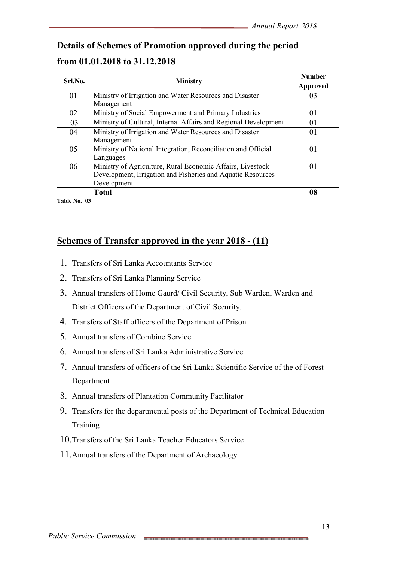# **Details of Schemes of Promotion approved during the period from 01.01.2018 to 31.12.2018**

| Srl.No. | <b>Ministry</b>                                                 | <b>Number</b><br>Approved |
|---------|-----------------------------------------------------------------|---------------------------|
| 01      | Ministry of Irrigation and Water Resources and Disaster         | 03                        |
|         | Management                                                      |                           |
| 02      | Ministry of Social Empowerment and Primary Industries           | 01                        |
| 03      | Ministry of Cultural, Internal Affairs and Regional Development | 01                        |
| 04      | Ministry of Irrigation and Water Resources and Disaster         | 01                        |
|         | Management                                                      |                           |
| 05      | Ministry of National Integration, Reconciliation and Official   | 01                        |
|         | Languages                                                       |                           |
| 06      | Ministry of Agriculture, Rural Economic Affairs, Livestock      | 01                        |
|         | Development, Irrigation and Fisheries and Aquatic Resources     |                           |
|         | Development                                                     |                           |
|         | <b>Total</b>                                                    | 08                        |

**Table No. 03** 

# **Schemes of Transfer approved in the year 2018 - (11)**

- 1. Transfers of Sri Lanka Accountants Service
- 2. Transfers of Sri Lanka Planning Service
- 3. Annual transfers of Home Gaurd/ Civil Security, Sub Warden, Warden and District Officers of the Department of Civil Security.
- 4. Transfers of Staff officers of the Department of Prison
- 5. Annual transfers of Combine Service
- 6. Annual transfers of Sri Lanka Administrative Service
- 7. Annual transfers of officers of the Sri Lanka Scientific Service of the of Forest Department
- 8. Annual transfers of Plantation Community Facilitator
- 9. Transfers for the departmental posts of the Department of Technical Education Training
- 10.Transfers of the Sri Lanka Teacher Educators Service
- 11.Annual transfers of the Department of Archaeology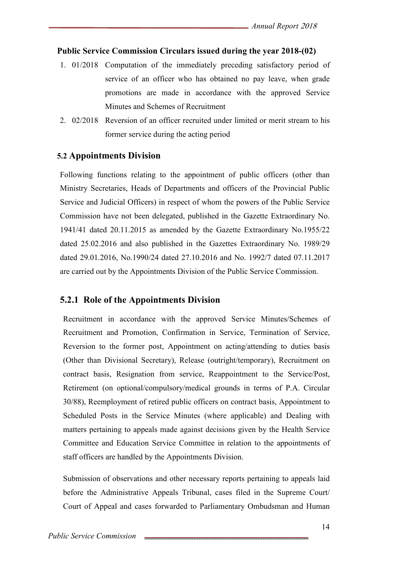#### **Public Service Commission Circulars issued during the year 2018-(02)**

- 1. 01/2018 Computation of the immediately preceding satisfactory period of service of an officer who has obtained no pay leave, when grade promotions are made in accordance with the approved Service Minutes and Schemes of Recruitment
- 2. 02/2018 Reversion of an officer recruited under limited or merit stream to his former service during the acting period

#### **5.2 Appointments Division**

Following functions relating to the appointment of public officers (other than Ministry Secretaries, Heads of Departments and officers of the Provincial Public Service and Judicial Officers) in respect of whom the powers of the Public Service Commission have not been delegated, published in the Gazette Extraordinary No. 1941/41 dated 20.11.2015 as amended by the Gazette Extraordinary No.1955/22 dated 25.02.2016 and also published in the Gazettes Extraordinary No. 1989/29 dated 29.01.2016, No.1990/24 dated 27.10.2016 and No. 1992/7 dated 07.11.2017 are carried out by the Appointments Division of the Public Service Commission.

#### **5.2.1 Role of the Appointments Division**

Recruitment in accordance with the approved Service Minutes/Schemes of Recruitment and Promotion, Confirmation in Service, Termination of Service, Reversion to the former post, Appointment on acting/attending to duties basis (Other than Divisional Secretary), Release (outright/temporary), Recruitment on contract basis, Resignation from service, Reappointment to the Service/Post, Retirement (on optional/compulsory/medical grounds in terms of P.A. Circular 30/88), Reemployment of retired public officers on contract basis, Appointment to Scheduled Posts in the Service Minutes (where applicable) and Dealing with matters pertaining to appeals made against decisions given by the Health Service Committee and Education Service Committee in relation to the appointments of staff officers are handled by the Appointments Division.

Submission of observations and other necessary reports pertaining to appeals laid before the Administrative Appeals Tribunal, cases filed in the Supreme Court/ Court of Appeal and cases forwarded to Parliamentary Ombudsman and Human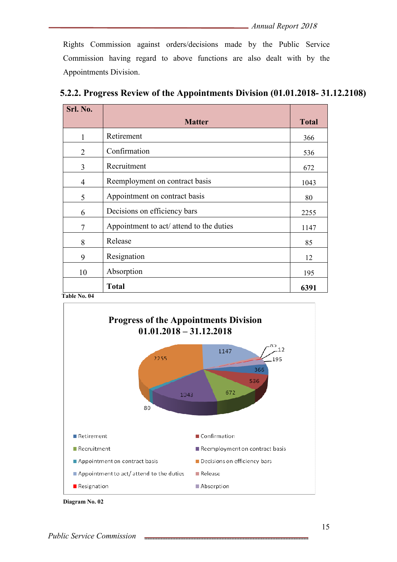Rights Commission against orders/decisions made by the Public Service Commission having regard to above functions are also dealt with by the Appointments Division.

| Srl. No.       |                                          |              |
|----------------|------------------------------------------|--------------|
|                | <b>Matter</b>                            | <b>Total</b> |
| 1              | Retirement                               | 366          |
| $\overline{2}$ | Confirmation                             | 536          |
| 3              | Recruitment                              | 672          |
| 4              | Reemployment on contract basis           | 1043         |
| 5              | Appointment on contract basis            | 80           |
| 6              | Decisions on efficiency bars             | 2255         |
| 7              | Appointment to act/ attend to the duties | 1147         |
| 8              | Release                                  | 85           |
| 9              | Resignation                              | 12           |
| 10             | Absorption                               | 195          |
|                | <b>Total</b>                             | 6391         |
| Table No. 04   |                                          |              |

| 5.2.2. Progress Review of the Appointments Division (01.01.2018-31.12.2108) |  |  |
|-----------------------------------------------------------------------------|--|--|
|                                                                             |  |  |

**Progress of the Appointments Division 01.01.2018 – 31.12.2018** $55$  $12$ 1147 2255 195 366 536 672 1043 80 Retirement Confirmation Recruitment Reemployment on contract basis Appointment on contract basis Decisions on efficiency bars Appointment to act/attend to the duties Release Resignation Absorption

**Diagram No. 02**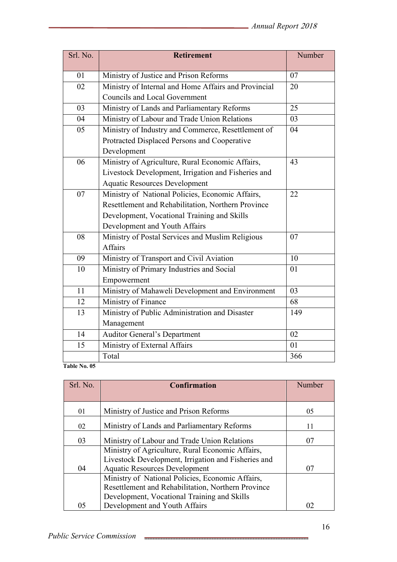| Srl. No.        | <b>Retirement</b>                                    | Number |
|-----------------|------------------------------------------------------|--------|
| 01              | Ministry of Justice and Prison Reforms               | 07     |
| 02              | Ministry of Internal and Home Affairs and Provincial | 20     |
|                 | <b>Councils and Local Government</b>                 |        |
| 03              | Ministry of Lands and Parliamentary Reforms          | 25     |
| 04              | Ministry of Labour and Trade Union Relations         | 03     |
| 05              | Ministry of Industry and Commerce, Resettlement of   | 04     |
|                 | Protracted Displaced Persons and Cooperative         |        |
|                 | Development                                          |        |
| 06              | Ministry of Agriculture, Rural Economic Affairs,     | 43     |
|                 | Livestock Development, Irrigation and Fisheries and  |        |
|                 | <b>Aquatic Resources Development</b>                 |        |
| 07              | Ministry of National Policies, Economic Affairs,     | 22     |
|                 | Resettlement and Rehabilitation, Northern Province   |        |
|                 | Development, Vocational Training and Skills          |        |
|                 | Development and Youth Affairs                        |        |
| 08              | Ministry of Postal Services and Muslim Religious     | 07     |
|                 | <b>Affairs</b>                                       |        |
| 09              | Ministry of Transport and Civil Aviation             | 10     |
| 10              | Ministry of Primary Industries and Social            | 01     |
|                 | Empowerment                                          |        |
| 11              | Ministry of Mahaweli Development and Environment     | 03     |
| 12              | Ministry of Finance                                  | 68     |
| $\overline{13}$ | Ministry of Public Administration and Disaster       | 149    |
|                 | Management                                           |        |
| 14              | <b>Auditor General's Department</b>                  | 02     |
| 15              | Ministry of External Affairs                         | 01     |
|                 | Total                                                | 366    |

| Srl. No. | <b>Confirmation</b>                                 | Number |
|----------|-----------------------------------------------------|--------|
|          |                                                     |        |
| 01       | Ministry of Justice and Prison Reforms              | 05     |
| 02       | Ministry of Lands and Parliamentary Reforms         | 11     |
| 03       | Ministry of Labour and Trade Union Relations        | 07     |
|          | Ministry of Agriculture, Rural Economic Affairs,    |        |
|          | Livestock Development, Irrigation and Fisheries and |        |
| 04       | <b>Aquatic Resources Development</b>                | 07     |
|          | Ministry of National Policies, Economic Affairs,    |        |
|          | Resettlement and Rehabilitation, Northern Province  |        |
|          | Development, Vocational Training and Skills         |        |
| 05       | Development and Youth Affairs                       | 02     |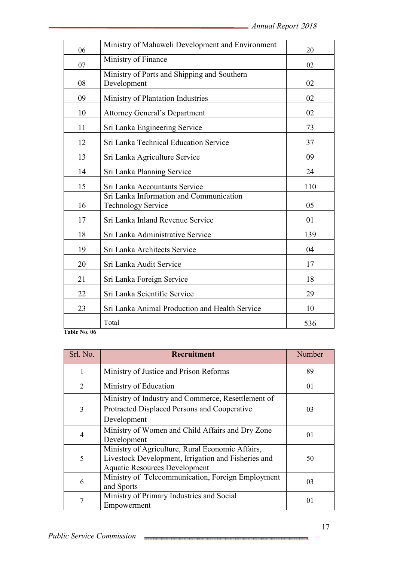| 06 | Ministry of Mahaweli Development and Environment                     | 20  |
|----|----------------------------------------------------------------------|-----|
| 07 | Ministry of Finance                                                  | 02  |
| 08 | Ministry of Ports and Shipping and Southern<br>Development           | 02  |
| 09 | Ministry of Plantation Industries                                    | 02  |
| 10 | <b>Attorney General's Department</b>                                 | 02  |
| 11 | Sri Lanka Engineering Service                                        | 73  |
| 12 | Sri Lanka Technical Education Service                                | 37  |
| 13 | Sri Lanka Agriculture Service                                        | 09  |
| 14 | Sri Lanka Planning Service                                           | 24  |
| 15 | Sri Lanka Accountants Service                                        | 110 |
| 16 | Sri Lanka Information and Communication<br><b>Technology Service</b> | 05  |
| 17 | Sri Lanka Inland Revenue Service                                     | 01  |
| 18 | Sri Lanka Administrative Service                                     | 139 |
| 19 | Sri Lanka Architects Service                                         | 04  |
| 20 | Sri Lanka Audit Service                                              | 17  |
| 21 | Sri Lanka Foreign Service                                            | 18  |
| 22 | Sri Lanka Scientific Service                                         | 29  |
| 23 | Sri Lanka Animal Production and Health Service                       | 10  |
|    | Total                                                                | 536 |

| Srl. No. | <b>Recruitment</b>                                                                                                                              | Number |
|----------|-------------------------------------------------------------------------------------------------------------------------------------------------|--------|
| 1        | Ministry of Justice and Prison Reforms                                                                                                          | 89     |
| 2        | Ministry of Education                                                                                                                           | 01     |
| 3        | Ministry of Industry and Commerce, Resettlement of<br>Protracted Displaced Persons and Cooperative<br>Development                               | 03     |
| 4        | Ministry of Women and Child Affairs and Dry Zone<br>Development                                                                                 | 01     |
| 5        | Ministry of Agriculture, Rural Economic Affairs,<br>Livestock Development, Irrigation and Fisheries and<br><b>Aquatic Resources Development</b> | 50     |
| 6        | Ministry of Telecommunication, Foreign Employment<br>and Sports                                                                                 | 03     |
| 7        | Ministry of Primary Industries and Social<br>Empowerment                                                                                        | 01     |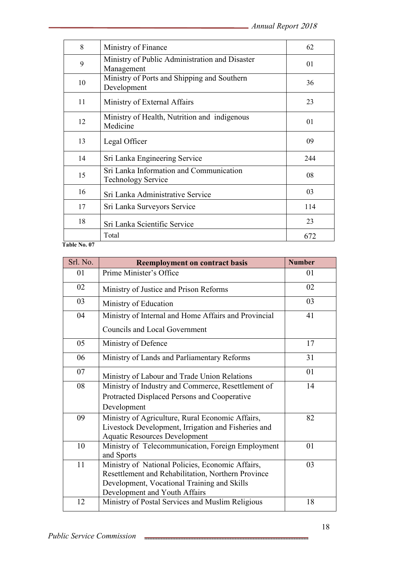| 8  | Ministry of Finance                                                  | 62  |
|----|----------------------------------------------------------------------|-----|
| 9  | Ministry of Public Administration and Disaster<br>Management         | 01  |
| 10 | Ministry of Ports and Shipping and Southern<br>Development           | 36  |
| 11 | Ministry of External Affairs                                         | 23  |
| 12 | Ministry of Health, Nutrition and indigenous<br>Medicine             | 01  |
| 13 | Legal Officer                                                        | 09  |
| 14 | Sri Lanka Engineering Service                                        | 244 |
| 15 | Sri Lanka Information and Communication<br><b>Technology Service</b> | 08  |
| 16 | Sri Lanka Administrative Service                                     | 03  |
| 17 | Sri Lanka Surveyors Service                                          | 114 |
| 18 | Sri Lanka Scientific Service                                         | 23  |
|    | Total                                                                | 672 |

| Srl. No. | <b>Reemployment on contract basis</b>                                                                  | <b>Number</b> |
|----------|--------------------------------------------------------------------------------------------------------|---------------|
| 01       | Prime Minister's Office                                                                                | 01            |
| 02       | Ministry of Justice and Prison Reforms                                                                 | 02            |
| 03       | Ministry of Education                                                                                  | 03            |
| 04       | Ministry of Internal and Home Affairs and Provincial                                                   | 41            |
|          | <b>Councils and Local Government</b>                                                                   |               |
| 05       | Ministry of Defence                                                                                    | 17            |
| 06       | Ministry of Lands and Parliamentary Reforms                                                            | 31            |
| 07       | Ministry of Labour and Trade Union Relations                                                           | 01            |
| 08       | Ministry of Industry and Commerce, Resettlement of                                                     | 14            |
|          | Protracted Displaced Persons and Cooperative                                                           |               |
|          | Development                                                                                            |               |
| 09       | Ministry of Agriculture, Rural Economic Affairs,                                                       | 82            |
|          | Livestock Development, Irrigation and Fisheries and<br><b>Aquatic Resources Development</b>            |               |
| 10       | Ministry of Telecommunication, Foreign Employment                                                      | 01            |
|          | and Sports                                                                                             |               |
| 11       | Ministry of National Policies, Economic Affairs,<br>Resettlement and Rehabilitation, Northern Province | 03            |
|          | Development, Vocational Training and Skills                                                            |               |
|          | Development and Youth Affairs                                                                          |               |
| 12       | Ministry of Postal Services and Muslim Religious                                                       | 18            |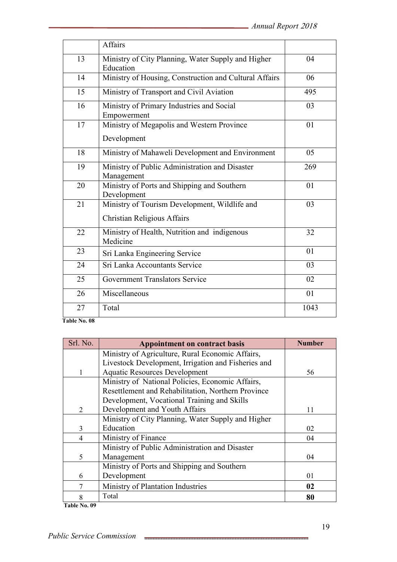|    | Affairs                                                                      |      |
|----|------------------------------------------------------------------------------|------|
| 13 | Ministry of City Planning, Water Supply and Higher<br>Education              | 04   |
| 14 | Ministry of Housing, Construction and Cultural Affairs                       | 06   |
| 15 | Ministry of Transport and Civil Aviation                                     | 495  |
| 16 | Ministry of Primary Industries and Social<br>Empowerment                     | 03   |
| 17 | Ministry of Megapolis and Western Province<br>Development                    | 01   |
| 18 | Ministry of Mahaweli Development and Environment                             | 05   |
| 19 | Ministry of Public Administration and Disaster<br>Management                 | 269  |
| 20 | Ministry of Ports and Shipping and Southern<br>Development                   | 01   |
| 21 | Ministry of Tourism Development, Wildlife and<br>Christian Religious Affairs | 03   |
| 22 | Ministry of Health, Nutrition and indigenous<br>Medicine                     | 32   |
| 23 | Sri Lanka Engineering Service                                                | 01   |
| 24 | Sri Lanka Accountants Service                                                | 03   |
| 25 | <b>Government Translators Service</b>                                        | 02   |
| 26 | Miscellaneous                                                                | 01   |
| 27 | Total                                                                        | 1043 |

| Srl. No.       | <b>Appointment on contract basis</b>                | <b>Number</b> |
|----------------|-----------------------------------------------------|---------------|
|                | Ministry of Agriculture, Rural Economic Affairs,    |               |
|                | Livestock Development, Irrigation and Fisheries and |               |
| 1              | <b>Aquatic Resources Development</b>                | 56            |
|                | Ministry of National Policies, Economic Affairs,    |               |
|                | Resettlement and Rehabilitation, Northern Province  |               |
|                | Development, Vocational Training and Skills         |               |
| $\overline{2}$ | Development and Youth Affairs                       | 11            |
|                | Ministry of City Planning, Water Supply and Higher  |               |
| 3              | Education                                           | 02            |
| 4              | Ministry of Finance                                 | 04            |
|                | Ministry of Public Administration and Disaster      |               |
| 5              | Management                                          | 04            |
|                | Ministry of Ports and Shipping and Southern         |               |
| 6              | Development                                         | 01            |
| 7              | Ministry of Plantation Industries                   | 02            |
| 8              | Total                                               | 80            |

 **Table No. 09**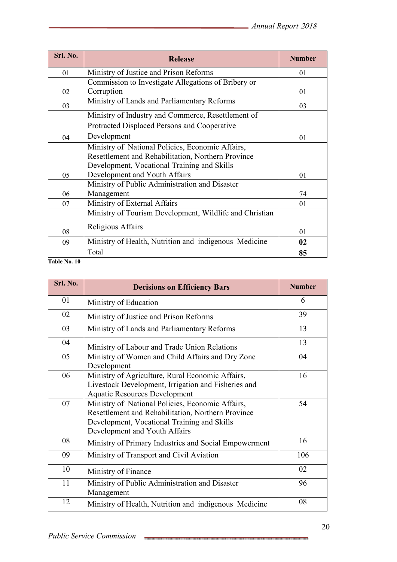| Srl. No. | <b>Release</b>                                          | <b>Number</b> |
|----------|---------------------------------------------------------|---------------|
| 01       | Ministry of Justice and Prison Reforms                  | 01            |
|          | Commission to Investigate Allegations of Bribery or     |               |
| 02       | Corruption                                              | 01            |
| 03       | Ministry of Lands and Parliamentary Reforms             | 03            |
|          | Ministry of Industry and Commerce, Resettlement of      |               |
|          | Protracted Displaced Persons and Cooperative            |               |
| 04       | Development                                             | 01            |
|          | Ministry of National Policies, Economic Affairs,        |               |
|          | Resettlement and Rehabilitation, Northern Province      |               |
|          | Development, Vocational Training and Skills             |               |
| 05       | Development and Youth Affairs                           | 01            |
|          | Ministry of Public Administration and Disaster          |               |
| 06       | Management                                              | 74            |
| 07       | Ministry of External Affairs                            | 01            |
|          | Ministry of Tourism Development, Wildlife and Christian |               |
| 08       | Religious Affairs                                       | 01            |
| 09       | Ministry of Health, Nutrition and indigenous Medicine   | 02            |
|          | Total                                                   | 85            |

| Srl. No. | <b>Decisions on Efficiency Bars</b>                                                                                                                                                    | <b>Number</b> |
|----------|----------------------------------------------------------------------------------------------------------------------------------------------------------------------------------------|---------------|
| 01       | Ministry of Education                                                                                                                                                                  | 6             |
| 02       | Ministry of Justice and Prison Reforms                                                                                                                                                 | 39            |
| 03       | Ministry of Lands and Parliamentary Reforms                                                                                                                                            | 13            |
| 04       | Ministry of Labour and Trade Union Relations                                                                                                                                           | 13            |
| 05       | Ministry of Women and Child Affairs and Dry Zone<br>Development                                                                                                                        | 04            |
| 06       | Ministry of Agriculture, Rural Economic Affairs,<br>Livestock Development, Irrigation and Fisheries and<br><b>Aquatic Resources Development</b>                                        | 16            |
| 07       | Ministry of National Policies, Economic Affairs,<br>Resettlement and Rehabilitation, Northern Province<br>Development, Vocational Training and Skills<br>Development and Youth Affairs | 54            |
| 08       | Ministry of Primary Industries and Social Empowerment                                                                                                                                  | 16            |
| 09       | Ministry of Transport and Civil Aviation                                                                                                                                               | 106           |
| 10       | Ministry of Finance                                                                                                                                                                    | 02            |
| 11       | Ministry of Public Administration and Disaster<br>Management                                                                                                                           | 96            |
| 12       | Ministry of Health, Nutrition and indigenous Medicine                                                                                                                                  | 08            |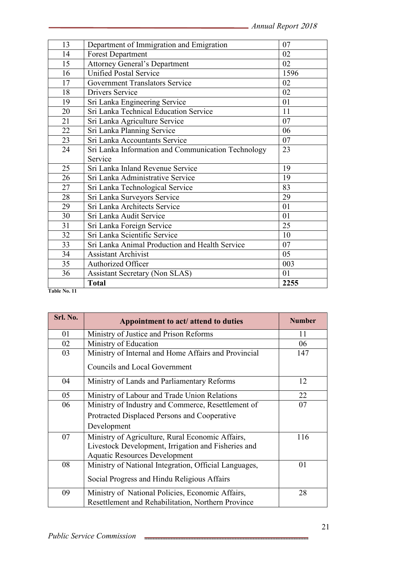| 13 | Department of Immigration and Emigration           | 07              |
|----|----------------------------------------------------|-----------------|
| 14 | <b>Forest Department</b>                           | 02              |
| 15 | <b>Attorney General's Department</b>               | 02              |
| 16 | <b>Unified Postal Service</b>                      | 1596            |
| 17 | <b>Government Translators Service</b>              | 02              |
| 18 | Drivers Service                                    | 02              |
| 19 | Sri Lanka Engineering Service                      | 01              |
| 20 | Sri Lanka Technical Education Service              | 11              |
| 21 | Sri Lanka Agriculture Service                      | 07              |
| 22 | Sri Lanka Planning Service                         | 06              |
| 23 | Sri Lanka Accountants Service                      | 07              |
| 24 | Sri Lanka Information and Communication Technology | 23              |
|    | Service                                            |                 |
| 25 | Sri Lanka Inland Revenue Service                   | 19              |
| 26 | Sri Lanka Administrative Service                   | 19              |
| 27 | Sri Lanka Technological Service                    | 83              |
| 28 | Sri Lanka Surveyors Service                        | 29              |
| 29 | Sri Lanka Architects Service                       | 01              |
| 30 | Sri Lanka Audit Service                            | 01              |
| 31 | Sri Lanka Foreign Service                          | $\overline{25}$ |
| 32 | Sri Lanka Scientific Service                       | 10              |
| 33 | Sri Lanka Animal Production and Health Service     | 07              |
| 34 | <b>Assistant Archivist</b>                         | 05              |
| 35 | Authorized Officer                                 | 003             |
| 36 | <b>Assistant Secretary (Non SLAS)</b>              | 01              |
|    | <b>Total</b>                                       | 2255            |

| Srl. No. | Appointment to act/ attend to duties                  | <b>Number</b> |
|----------|-------------------------------------------------------|---------------|
| 01       | Ministry of Justice and Prison Reforms                | 11            |
| 02       | Ministry of Education                                 | 06            |
| 03       | Ministry of Internal and Home Affairs and Provincial  | 147           |
|          | <b>Councils and Local Government</b>                  |               |
| 04       | Ministry of Lands and Parliamentary Reforms           | 12            |
| 05       | Ministry of Labour and Trade Union Relations          | 22            |
| 06       | Ministry of Industry and Commerce, Resettlement of    | 07            |
|          | Protracted Displaced Persons and Cooperative          |               |
|          | Development                                           |               |
| 07       | Ministry of Agriculture, Rural Economic Affairs,      | 116           |
|          | Livestock Development, Irrigation and Fisheries and   |               |
|          | <b>Aquatic Resources Development</b>                  |               |
| 08       | Ministry of National Integration, Official Languages, | 01            |
|          | Social Progress and Hindu Religious Affairs           |               |
| 09       | Ministry of National Policies, Economic Affairs,      | 28            |
|          | Resettlement and Rehabilitation, Northern Province    |               |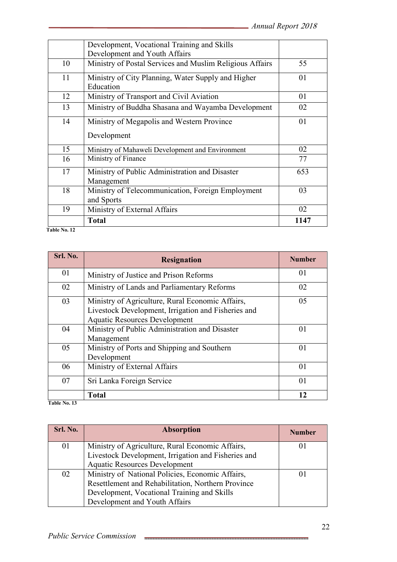|    | Development, Vocational Training and Skills              |      |
|----|----------------------------------------------------------|------|
|    | Development and Youth Affairs                            |      |
| 10 | Ministry of Postal Services and Muslim Religious Affairs | 55   |
| 11 | Ministry of City Planning, Water Supply and Higher       | 01   |
|    | Education                                                |      |
| 12 | Ministry of Transport and Civil Aviation                 | 01   |
| 13 | Ministry of Buddha Shasana and Wayamba Development       | 02   |
| 14 | Ministry of Megapolis and Western Province               | 01   |
|    | Development                                              |      |
| 15 | Ministry of Mahaweli Development and Environment         | 02   |
| 16 | Ministry of Finance                                      | 77   |
| 17 | Ministry of Public Administration and Disaster           | 653  |
|    | Management                                               |      |
| 18 | Ministry of Telecommunication, Foreign Employment        | 03   |
|    | and Sports                                               |      |
| 19 | Ministry of External Affairs                             | 02   |
|    | <b>Total</b>                                             | 1147 |

| Srl. No. | <b>Resignation</b>                                                                                                                              | <b>Number</b>     |
|----------|-------------------------------------------------------------------------------------------------------------------------------------------------|-------------------|
| 01       | Ministry of Justice and Prison Reforms                                                                                                          | 01                |
| 02       | Ministry of Lands and Parliamentary Reforms                                                                                                     | 02                |
| 03       | Ministry of Agriculture, Rural Economic Affairs,<br>Livestock Development, Irrigation and Fisheries and<br><b>Aquatic Resources Development</b> | 05                |
| 04       | Ministry of Public Administration and Disaster<br>Management                                                                                    | 01                |
| 05       | Ministry of Ports and Shipping and Southern<br>Development                                                                                      | 01                |
| 06       | Ministry of External Affairs                                                                                                                    | 01                |
| 07       | Sri Lanka Foreign Service                                                                                                                       | 01                |
| .        | <b>Total</b>                                                                                                                                    | $12 \overline{)}$ |

**Table No. 13** 

| Srl. No. | <b>Absorption</b>                                   | <b>Number</b> |
|----------|-----------------------------------------------------|---------------|
| 01       | Ministry of Agriculture, Rural Economic Affairs,    | $_{01}$       |
|          | Livestock Development, Irrigation and Fisheries and |               |
|          | <b>Aquatic Resources Development</b>                |               |
| 02       | Ministry of National Policies, Economic Affairs,    | 01            |
|          | Resettlement and Rehabilitation, Northern Province  |               |
|          | Development, Vocational Training and Skills         |               |
|          | Development and Youth Affairs                       |               |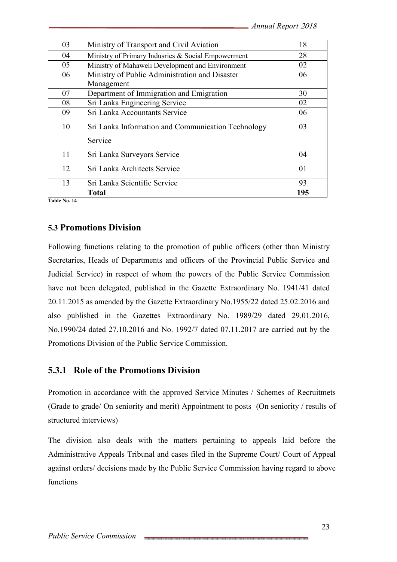| Table No. 14 | <b>Total</b>                                       | 195 |
|--------------|----------------------------------------------------|-----|
| 13           | Sri Lanka Scientific Service                       | 93  |
| 12           | Sri Lanka Architects Service                       | 01  |
| 11           | Sri Lanka Surveyors Service                        | 04  |
|              | Service                                            |     |
| 10           | Sri Lanka Information and Communication Technology | 03  |
| 09           | Sri Lanka Accountants Service                      | 06  |
| 08           | Sri Lanka Engineering Service                      | 02  |
| 07           | Department of Immigration and Emigration           | 30  |
|              | Management                                         |     |
| 06           | Ministry of Public Administration and Disaster     | 06  |
| 05           | Ministry of Mahaweli Development and Environment   | 02  |
| 04           | Ministry of Primary Indusries & Social Empowerment | 28  |
| 03           | Ministry of Transport and Civil Aviation           | 18  |

**5.3 Promotions Division** 

Following functions relating to the promotion of public officers (other than Ministry Secretaries, Heads of Departments and officers of the Provincial Public Service and Judicial Service) in respect of whom the powers of the Public Service Commission have not been delegated, published in the Gazette Extraordinary No. 1941/41 dated 20.11.2015 as amended by the Gazette Extraordinary No.1955/22 dated 25.02.2016 and also published in the Gazettes Extraordinary No. 1989/29 dated 29.01.2016, No.1990/24 dated 27.10.2016 and No. 1992/7 dated 07.11.2017 are carried out by the Promotions Division of the Public Service Commission.

#### **5.3.1 Role of the Promotions Division**

Promotion in accordance with the approved Service Minutes / Schemes of Recruitmets (Grade to grade/ On seniority and merit) Appointment to posts (On seniority / results of structured interviews)

The division also deals with the matters pertaining to appeals laid before the Administrative Appeals Tribunal and cases filed in the Supreme Court/ Court of Appeal against orders/ decisions made by the Public Service Commission having regard to above functions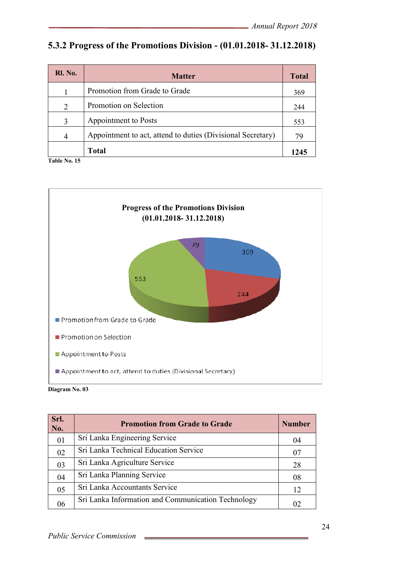# **5.3.2 Progress of the Promotions Division - (01.01.2018- 31.12.2018)**

| Rl. No. | <b>Matter</b>                                               | <b>Total</b> |
|---------|-------------------------------------------------------------|--------------|
|         | Promotion from Grade to Grade                               | 369          |
| 2       | Promotion on Selection                                      | 244          |
| 3       | Appointment to Posts                                        | 553          |
| 4       | Appointment to act, attend to duties (Divisional Secretary) | 79           |
| .       | <b>Total</b>                                                | 1245         |

**Table No. 15** 



**Diagram No. 03** 

| Srl.<br>No. | <b>Promotion from Grade to Grade</b>               | <b>Number</b> |
|-------------|----------------------------------------------------|---------------|
| 01          | Sri Lanka Engineering Service                      | 04            |
| 02          | Sri Lanka Technical Education Service              | 07            |
| 03          | Sri Lanka Agriculture Service                      | 28            |
| 04          | Sri Lanka Planning Service                         | 08            |
| 05          | Sri Lanka Accountants Service                      | 12            |
| 06          | Sri Lanka Information and Communication Technology |               |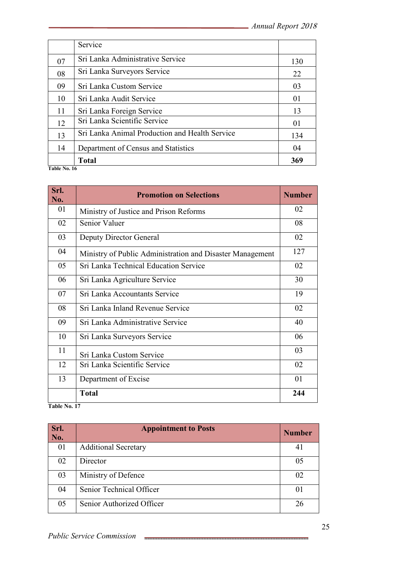|    | Service                                        |     |
|----|------------------------------------------------|-----|
| 07 | Sri Lanka Administrative Service               | 130 |
| 08 | Sri Lanka Surveyors Service                    | 22  |
| 09 | Sri Lanka Custom Service                       | 03  |
| 10 | Sri Lanka Audit Service                        | 01  |
| 11 | Sri Lanka Foreign Service                      | 13  |
| 12 | Sri Lanka Scientific Service                   | 01  |
| 13 | Sri Lanka Animal Production and Health Service | 134 |
| 14 | Department of Census and Statistics            | 04  |
|    | <b>Total</b>                                   | 369 |

| Srl.<br>No. | <b>Promotion on Selections</b>                            | <b>Number</b> |
|-------------|-----------------------------------------------------------|---------------|
| 01          | Ministry of Justice and Prison Reforms                    | 02            |
| 02          | <b>Senior Valuer</b>                                      | 08            |
| 03          | Deputy Director General                                   | 02            |
| 04          | Ministry of Public Administration and Disaster Management | 127           |
| 05          | Sri Lanka Technical Education Service                     | 02            |
| 06          | Sri Lanka Agriculture Service                             | 30            |
| 07          | Sri Lanka Accountants Service                             | 19            |
| 08          | Sri Lanka Inland Revenue Service                          | 02            |
| 09          | Sri Lanka Administrative Service                          | 40            |
| 10          | Sri Lanka Surveyors Service                               | 06            |
| 11          | Sri Lanka Custom Service                                  | 03            |
| 12          | Sri Lanka Scientific Service                              | 02            |
| 13          | Department of Excise                                      | 01            |
|             | <b>Total</b>                                              | 244           |

**Table No. 17** 

| Srl.<br>No. | <b>Appointment to Posts</b> | <b>Number</b> |
|-------------|-----------------------------|---------------|
| 01          | <b>Additional Secretary</b> | 41            |
| 02          | Director                    | 05            |
| 03          | Ministry of Defence         | 02            |
| 04          | Senior Technical Officer    | $\Omega$      |
| 05          | Senior Authorized Officer   | 26            |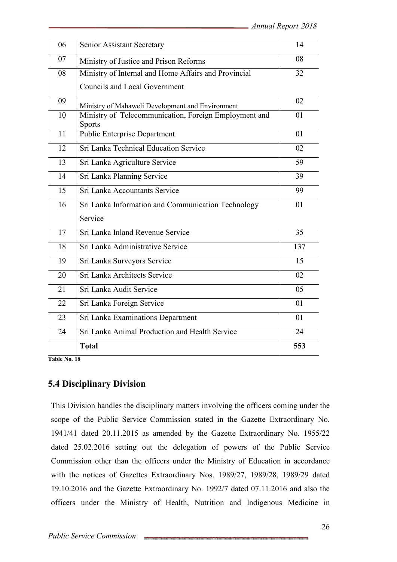| 06 | Senior Assistant Secretary                                      | 14  |
|----|-----------------------------------------------------------------|-----|
| 07 | Ministry of Justice and Prison Reforms                          | 08  |
| 08 | Ministry of Internal and Home Affairs and Provincial            | 32  |
|    | <b>Councils and Local Government</b>                            |     |
| 09 | Ministry of Mahaweli Development and Environment                | 02  |
| 10 | Ministry of Telecommunication, Foreign Employment and<br>Sports | 01  |
| 11 | <b>Public Enterprise Department</b>                             | 01  |
| 12 | Sri Lanka Technical Education Service                           | 02  |
| 13 | Sri Lanka Agriculture Service                                   | 59  |
| 14 | Sri Lanka Planning Service                                      | 39  |
| 15 | Sri Lanka Accountants Service                                   | 99  |
| 16 | Sri Lanka Information and Communication Technology              | 01  |
|    | Service                                                         |     |
| 17 | Sri Lanka Inland Revenue Service                                | 35  |
| 18 | Sri Lanka Administrative Service                                | 137 |
| 19 | Sri Lanka Surveyors Service                                     | 15  |
| 20 | Sri Lanka Architects Service                                    | 02  |
| 21 | Sri Lanka Audit Service                                         | 05  |
| 22 | Sri Lanka Foreign Service                                       | 01  |
| 23 | Sri Lanka Examinations Department                               | 01  |
| 24 | Sri Lanka Animal Production and Health Service                  | 24  |
|    | <b>Total</b>                                                    | 553 |

#### **5.4 Disciplinary Division**

This Division handles the disciplinary matters involving the officers coming under the scope of the Public Service Commission stated in the Gazette Extraordinary No. 1941/41 dated 20.11.2015 as amended by the Gazette Extraordinary No. 1955/22 dated 25.02.2016 setting out the delegation of powers of the Public Service Commission other than the officers under the Ministry of Education in accordance with the notices of Gazettes Extraordinary Nos. 1989/27, 1989/28, 1989/29 dated 19.10.2016 and the Gazette Extraordinary No. 1992/7 dated 07.11.2016 and also the officers under the Ministry of Health, Nutrition and Indigenous Medicine in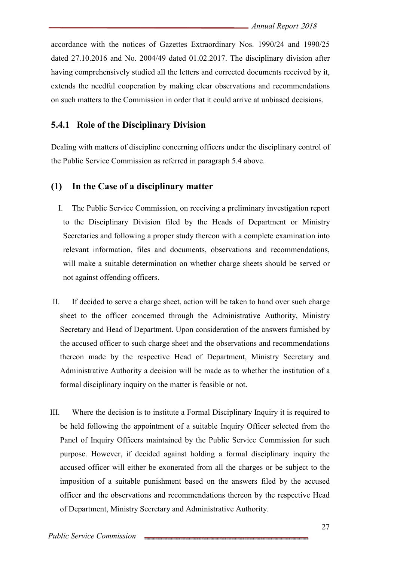accordance with the notices of Gazettes Extraordinary Nos. 1990/24 and 1990/25 dated 27.10.2016 and No. 2004/49 dated 01.02.2017. The disciplinary division after having comprehensively studied all the letters and corrected documents received by it, extends the needful cooperation by making clear observations and recommendations on such matters to the Commission in order that it could arrive at unbiased decisions.

#### **5.4.1 Role of the Disciplinary Division**

Dealing with matters of discipline concerning officers under the disciplinary control of the Public Service Commission as referred in paragraph 5.4 above.

#### **(1) In the Case of a disciplinary matter**

- I. The Public Service Commission, on receiving a preliminary investigation report to the Disciplinary Division filed by the Heads of Department or Ministry Secretaries and following a proper study thereon with a complete examination into relevant information, files and documents, observations and recommendations, will make a suitable determination on whether charge sheets should be served or not against offending officers.
- II. If decided to serve a charge sheet, action will be taken to hand over such charge sheet to the officer concerned through the Administrative Authority, Ministry Secretary and Head of Department. Upon consideration of the answers furnished by the accused officer to such charge sheet and the observations and recommendations thereon made by the respective Head of Department, Ministry Secretary and Administrative Authority a decision will be made as to whether the institution of a formal disciplinary inquiry on the matter is feasible or not.
- III. Where the decision is to institute a Formal Disciplinary Inquiry it is required to be held following the appointment of a suitable Inquiry Officer selected from the Panel of Inquiry Officers maintained by the Public Service Commission for such purpose. However, if decided against holding a formal disciplinary inquiry the accused officer will either be exonerated from all the charges or be subject to the imposition of a suitable punishment based on the answers filed by the accused officer and the observations and recommendations thereon by the respective Head of Department, Ministry Secretary and Administrative Authority.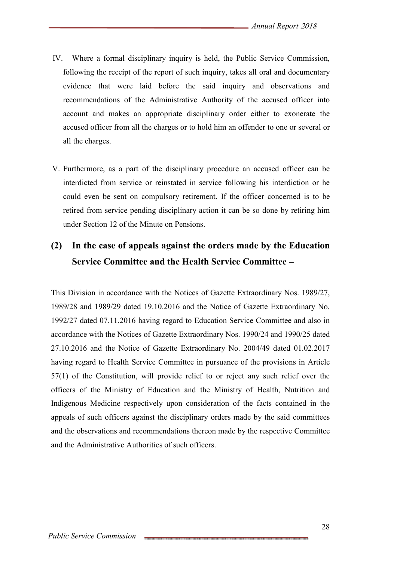- IV. Where a formal disciplinary inquiry is held, the Public Service Commission, following the receipt of the report of such inquiry, takes all oral and documentary evidence that were laid before the said inquiry and observations and recommendations of the Administrative Authority of the accused officer into account and makes an appropriate disciplinary order either to exonerate the accused officer from all the charges or to hold him an offender to one or several or all the charges.
- V. Furthermore, as a part of the disciplinary procedure an accused officer can be interdicted from service or reinstated in service following his interdiction or he could even be sent on compulsory retirement. If the officer concerned is to be retired from service pending disciplinary action it can be so done by retiring him under Section 12 of the Minute on Pensions.

# **(2) In the case of appeals against the orders made by the Education Service Committee and the Health Service Committee –**

This Division in accordance with the Notices of Gazette Extraordinary Nos. 1989/27, 1989/28 and 1989/29 dated 19.10.2016 and the Notice of Gazette Extraordinary No. 1992/27 dated 07.11.2016 having regard to Education Service Committee and also in accordance with the Notices of Gazette Extraordinary Nos. 1990/24 and 1990/25 dated 27.10.2016 and the Notice of Gazette Extraordinary No. 2004/49 dated 01.02.2017 having regard to Health Service Committee in pursuance of the provisions in Article 57(1) of the Constitution, will provide relief to or reject any such relief over the officers of the Ministry of Education and the Ministry of Health, Nutrition and Indigenous Medicine respectively upon consideration of the facts contained in the appeals of such officers against the disciplinary orders made by the said committees and the observations and recommendations thereon made by the respective Committee and the Administrative Authorities of such officers.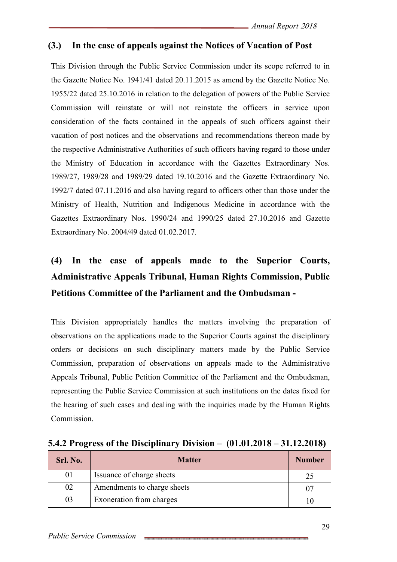## **(3.) In the case of appeals against the Notices of Vacation of Post**

This Division through the Public Service Commission under its scope referred to in the Gazette Notice No. 1941/41 dated 20.11.2015 as amend by the Gazette Notice No. 1955/22 dated 25.10.2016 in relation to the delegation of powers of the Public Service Commission will reinstate or will not reinstate the officers in service upon consideration of the facts contained in the appeals of such officers against their vacation of post notices and the observations and recommendations thereon made by the respective Administrative Authorities of such officers having regard to those under the Ministry of Education in accordance with the Gazettes Extraordinary Nos. 1989/27, 1989/28 and 1989/29 dated 19.10.2016 and the Gazette Extraordinary No. 1992/7 dated 07.11.2016 and also having regard to officers other than those under the Ministry of Health, Nutrition and Indigenous Medicine in accordance with the Gazettes Extraordinary Nos. 1990/24 and 1990/25 dated 27.10.2016 and Gazette Extraordinary No. 2004/49 dated 01.02.2017.

# **(4) In the case of appeals made to the Superior Courts, Administrative Appeals Tribunal, Human Rights Commission, Public Petitions Committee of the Parliament and the Ombudsman -**

This Division appropriately handles the matters involving the preparation of observations on the applications made to the Superior Courts against the disciplinary orders or decisions on such disciplinary matters made by the Public Service Commission, preparation of observations on appeals made to the Administrative Appeals Tribunal, Public Petition Committee of the Parliament and the Ombudsman, representing the Public Service Commission at such institutions on the dates fixed for the hearing of such cases and dealing with the inquiries made by the Human Rights Commission.

| Srl. No. | <b>Matter</b>               | <b>Number</b> |
|----------|-----------------------------|---------------|
| 01       | Issuance of charge sheets   |               |
| 02       | Amendments to charge sheets |               |
| 03       | Exoneration from charges    |               |

**5.4.2 Progress of the Disciplinary Division – (01.01.2018 – 31.12.2018)**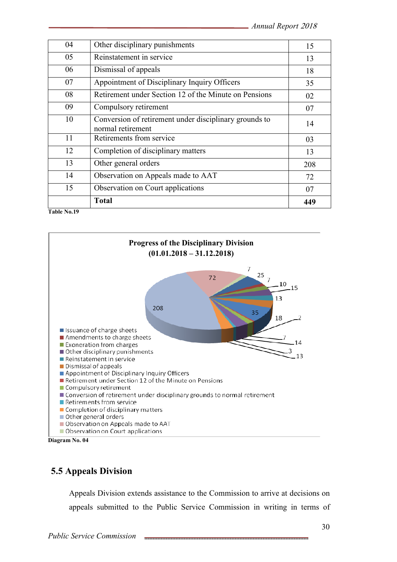| 04 | Other disciplinary punishments                                              | 15  |
|----|-----------------------------------------------------------------------------|-----|
| 05 | Reinstatement in service                                                    | 13  |
| 06 | Dismissal of appeals                                                        | 18  |
| 07 | Appointment of Disciplinary Inquiry Officers                                | 35  |
| 08 | Retirement under Section 12 of the Minute on Pensions                       | 02  |
| 09 | Compulsory retirement                                                       | 07  |
| 10 | Conversion of retirement under disciplinary grounds to<br>normal retirement | 14  |
| 11 | Retirements from service                                                    | 03  |
| 12 | Completion of disciplinary matters                                          | 13  |
| 13 | Other general orders                                                        | 208 |
| 14 | Observation on Appeals made to AAT                                          | 72  |
| 15 | Observation on Court applications                                           | 07  |
|    | <b>Total</b>                                                                | 449 |





# **5.5 Appeals Division**

Appeals Division extends assistance to the Commission to arrive at decisions on appeals submitted to the Public Service Commission in writing in terms of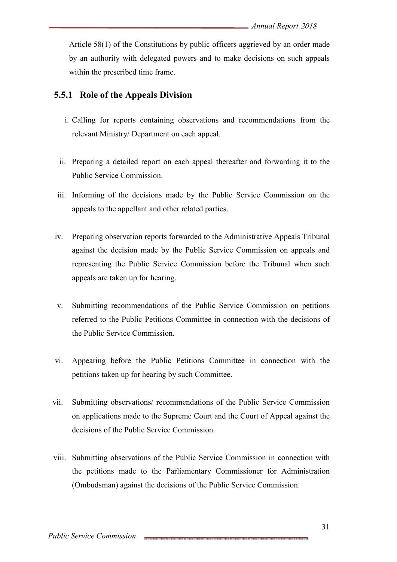Article 58(1) of the Constitutions by public officers aggrieved by an order made by an authority with delegated powers and to make decisions on such appeals within the prescribed time frame.

# **5.5.1 Role of the Appeals Division**

- i. Calling for reports containing observations and recommendations from the relevant Ministry/ Department on each appeal.
- ii. Preparing a detailed report on each appeal thereafter and forwarding it to the Public Service Commission.
- iii. Informing of the decisions made by the Public Service Commission on the appeals to the appellant and other related parties.
- iv. Preparing observation reports forwarded to the Administrative Appeals Tribunal against the decision made by the Public Service Commission on appeals and representing the Public Service Commission before the Tribunal when such appeals are taken up for hearing.
- v. Submitting recommendations of the Public Service Commission on petitions referred to the Public Petitions Committee in connection with the decisions of the Public Service Commission.
- vi. Appearing before the Public Petitions Committee in connection with the petitions taken up for hearing by such Committee.
- vii. Submitting observations/ recommendations of the Public Service Commission on applications made to the Supreme Court and the Court of Appeal against the decisions of the Public Service Commission.
- viii. Submitting observations of the Public Service Commission in connection with the petitions made to the Parliamentary Commissioner for Administration (Ombudsman) against the decisions of the Public Service Commission.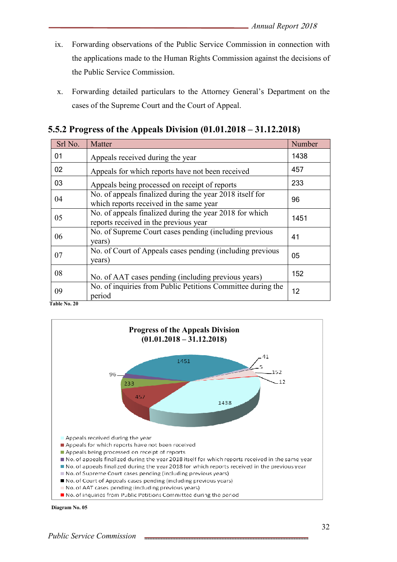- ix. Forwarding observations of the Public Service Commission in connection with the applications made to the Human Rights Commission against the decisions of the Public Service Commission.
- x. Forwarding detailed particulars to the Attorney General's Department on the cases of the Supreme Court and the Court of Appeal.

| Srl No. | Matter                                                                                              | Number |
|---------|-----------------------------------------------------------------------------------------------------|--------|
| 01      | Appeals received during the year                                                                    | 1438   |
| 02      | Appeals for which reports have not been received                                                    | 457    |
| 03      | Appeals being processed on receipt of reports                                                       | 233    |
| 04      | No. of appeals finalized during the year 2018 itself for<br>which reports received in the same year | 96     |
| 05      | No. of appeals finalized during the year 2018 for which<br>reports received in the previous year    | 1451   |
| 06      | No. of Supreme Court cases pending (including previous<br>years)                                    | 41     |
| 07      | No. of Court of Appeals cases pending (including previous<br>years)                                 | 05     |
| 08      | No. of AAT cases pending (including previous years)                                                 | 152    |
| 09      | No. of inquiries from Public Petitions Committee during the<br>period                               | 12     |

**5.5.2 Progress of the Appeals Division (01.01.2018 – 31.12.2018)** 



 **Diagram No. 05**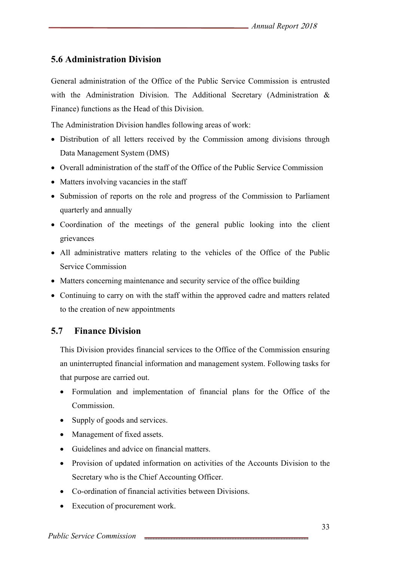# **5.6 Administration Division**

General administration of the Office of the Public Service Commission is entrusted with the Administration Division. The Additional Secretary (Administration & Finance) functions as the Head of this Division.

The Administration Division handles following areas of work:

- Distribution of all letters received by the Commission among divisions through Data Management System (DMS)
- Overall administration of the staff of the Office of the Public Service Commission
- Matters involving vacancies in the staff
- Submission of reports on the role and progress of the Commission to Parliament quarterly and annually
- Coordination of the meetings of the general public looking into the client grievances
- All administrative matters relating to the vehicles of the Office of the Public Service Commission
- Matters concerning maintenance and security service of the office building
- Continuing to carry on with the staff within the approved cadre and matters related to the creation of new appointments

#### **5.7 Finance Division**

This Division provides financial services to the Office of the Commission ensuring an uninterrupted financial information and management system. Following tasks for that purpose are carried out.

- Formulation and implementation of financial plans for the Office of the Commission.
- Supply of goods and services.
- Management of fixed assets.
- Guidelines and advice on financial matters.
- Provision of updated information on activities of the Accounts Division to the Secretary who is the Chief Accounting Officer.
- Co-ordination of financial activities between Divisions.
- Execution of procurement work.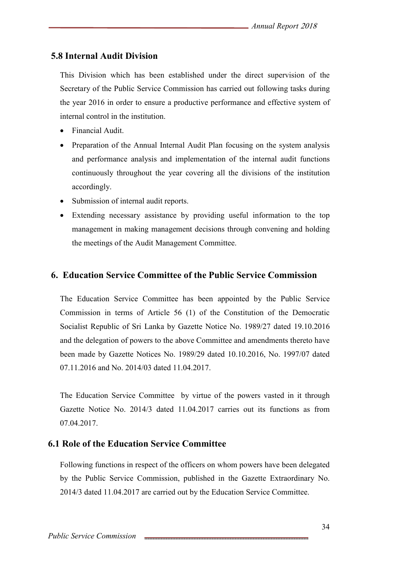# **5.8 Internal Audit Division**

This Division which has been established under the direct supervision of the Secretary of the Public Service Commission has carried out following tasks during the year 2016 in order to ensure a productive performance and effective system of internal control in the institution.

- Financial Audit.
- Preparation of the Annual Internal Audit Plan focusing on the system analysis and performance analysis and implementation of the internal audit functions continuously throughout the year covering all the divisions of the institution accordingly.
- Submission of internal audit reports.
- Extending necessary assistance by providing useful information to the top management in making management decisions through convening and holding the meetings of the Audit Management Committee.

## **6. Education Service Committee of the Public Service Commission**

The Education Service Committee has been appointed by the Public Service Commission in terms of Article 56 (1) of the Constitution of the Democratic Socialist Republic of Sri Lanka by Gazette Notice No. 1989/27 dated 19.10.2016 and the delegation of powers to the above Committee and amendments thereto have been made by Gazette Notices No. 1989/29 dated 10.10.2016, No. 1997/07 dated 07.11.2016 and No. 2014/03 dated 11.04.2017.

The Education Service Committee by virtue of the powers vasted in it through Gazette Notice No. 2014/3 dated 11.04.2017 carries out its functions as from 07.04.2017.

#### **6.1 Role of the Education Service Committee**

Following functions in respect of the officers on whom powers have been delegated by the Public Service Commission, published in the Gazette Extraordinary No. 2014/3 dated 11.04.2017 are carried out by the Education Service Committee.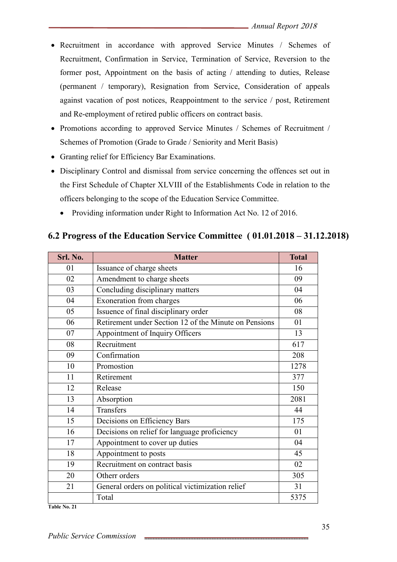- Recruitment in accordance with approved Service Minutes / Schemes of Recruitment, Confirmation in Service, Termination of Service, Reversion to the former post, Appointment on the basis of acting / attending to duties, Release (permanent / temporary), Resignation from Service, Consideration of appeals against vacation of post notices, Reappointment to the service / post, Retirement and Re-employment of retired public officers on contract basis.
- Promotions according to approved Service Minutes / Schemes of Recruitment / Schemes of Promotion (Grade to Grade / Seniority and Merit Basis)
- Granting relief for Efficiency Bar Examinations.
- Disciplinary Control and dismissal from service concerning the offences set out in the First Schedule of Chapter XLVIII of the Establishments Code in relation to the officers belonging to the scope of the Education Service Committee.
	- Providing information under Right to Information Act No. 12 of 2016.

#### **6.2 Progress of the Education Service Committee ( 01.01.2018 – 31.12.2018)**

| Srl. No. | <b>Matter</b>                                         | <b>Total</b> |
|----------|-------------------------------------------------------|--------------|
| 01       | Issuance of charge sheets                             | 16           |
| 02       | Amendment to charge sheets                            | 09           |
| 03       | Concluding disciplinary matters                       | 04           |
| 04       | Exoneration from charges                              | 06           |
| 05       | Issuence of final disciplinary order                  | 08           |
| 06       | Retirement under Section 12 of the Minute on Pensions | 01           |
| 07       | Appointment of Inquiry Officers                       | 13           |
| 08       | Recruitment                                           | 617          |
| 09       | Confirmation                                          | 208          |
| 10       | Promostion                                            | 1278         |
| 11       | Retirement                                            | 377          |
| 12       | Release                                               | 150          |
| 13       | Absorption                                            | 2081         |
| 14       | Transfers                                             | 44           |
| 15       | Decisions on Efficiency Bars                          | 175          |
| 16       | Decisions on relief for language proficiency          | 01           |
| 17       | Appointment to cover up duties                        | 04           |
| 18       | Appointment to posts                                  | 45           |
| 19       | Recruitment on contract basis                         | 02           |
| 20       | Otherr orders                                         | 305          |
| 21       | General orders on political victimization relief      | 31           |
|          | Total                                                 | 5375         |

**Table No. 21**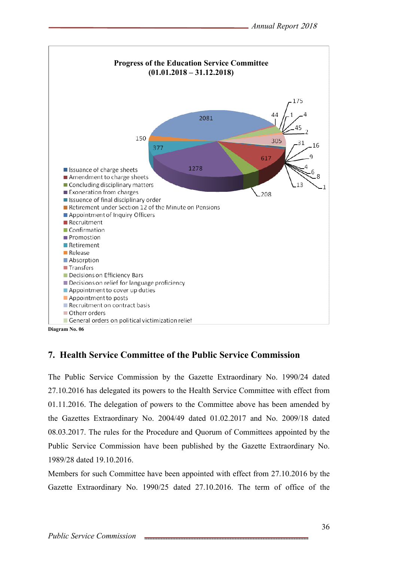

#### **7. Health Service Committee of the Public Service Commission**

The Public Service Commission by the Gazette Extraordinary No. 1990/24 dated 27.10.2016 has delegated its powers to the Health Service Committee with effect from 01.11.2016. The delegation of powers to the Committee above has been amended by the Gazettes Extraordinary No. 2004/49 dated 01.02.2017 and No. 2009/18 dated 08.03.2017. The rules for the Procedure and Quorum of Committees appointed by the Public Service Commission have been published by the Gazette Extraordinary No. 1989/28 dated 19.10.2016.

Members for such Committee have been appointed with effect from 27.10.2016 by the Gazette Extraordinary No. 1990/25 dated 27.10.2016. The term of office of the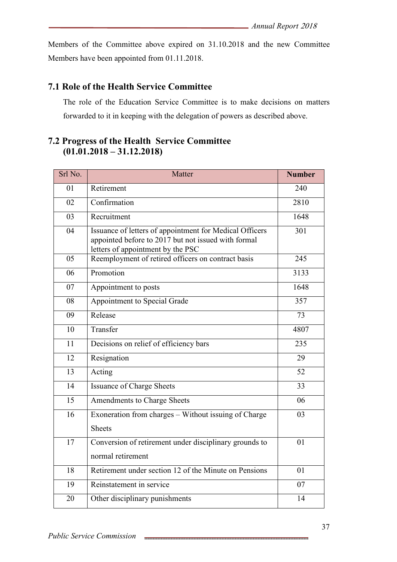Members of the Committee above expired on 31.10.2018 and the new Committee Members have been appointed from 01.11.2018.

# **7.1 Role of the Health Service Committee**

The role of the Education Service Committee is to make decisions on matters forwarded to it in keeping with the delegation of powers as described above.

## **7.2 Progress of the Health Service Committee (01.01.2018 – 31.12.2018)**

| Srl No.         | Matter                                                                                                                                              | <b>Number</b> |
|-----------------|-----------------------------------------------------------------------------------------------------------------------------------------------------|---------------|
| 01              | Retirement                                                                                                                                          | 240           |
| 02              | Confirmation                                                                                                                                        | 2810          |
| 03              | Recruitment                                                                                                                                         | 1648          |
| 04              | Issuance of letters of appointment for Medical Officers<br>appointed before to 2017 but not issued with formal<br>letters of appointment by the PSC | 301           |
| 05              | Reemployment of retired officers on contract basis                                                                                                  | 245           |
| 06              | Promotion                                                                                                                                           | 3133          |
| 07              | Appointment to posts                                                                                                                                | 1648          |
| 08              | Appointment to Special Grade                                                                                                                        | 357           |
| 09              | Release                                                                                                                                             | 73            |
| 10              | Transfer                                                                                                                                            | 4807          |
| 11              | Decisions on relief of efficiency bars                                                                                                              | 235           |
| 12              | Resignation                                                                                                                                         | 29            |
| 13              | Acting                                                                                                                                              | 52            |
| 14              | <b>Issuance of Charge Sheets</b>                                                                                                                    | 33            |
| 15              | Amendments to Charge Sheets                                                                                                                         | 06            |
| 16              | Exoneration from charges - Without issuing of Charge                                                                                                | 03            |
|                 | <b>Sheets</b>                                                                                                                                       |               |
| $\overline{17}$ | Conversion of retirement under disciplinary grounds to                                                                                              | 01            |
|                 | normal retirement                                                                                                                                   |               |
| 18              | Retirement under section 12 of the Minute on Pensions                                                                                               | 01            |
| 19              | Reinstatement in service                                                                                                                            | 07            |
| 20              | Other disciplinary punishments                                                                                                                      | 14            |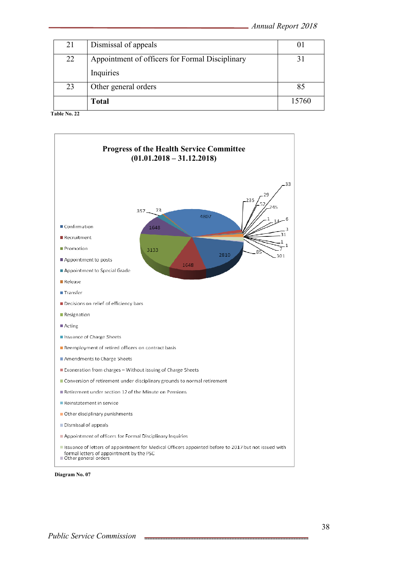| 21 | Dismissal of appeals                                         |       |
|----|--------------------------------------------------------------|-------|
| 22 | Appointment of officers for Formal Disciplinary<br>Inquiries |       |
| 23 | Other general orders                                         | 85    |
|    | <b>Total</b>                                                 | 15760 |



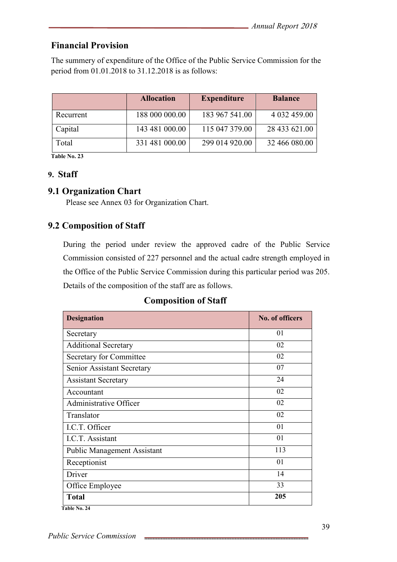# **Financial Provision**

The summery of expenditure of the Office of the Public Service Commission for the period from 01.01.2018 to 31.12.2018 is as follows:

|           | <b>Allocation</b> | <b>Expenditure</b> | <b>Balance</b> |
|-----------|-------------------|--------------------|----------------|
| Recurrent | 188 000 000.00    | 183 967 541.00     | 4 032 459.00   |
| Capital   | 143 481 000.00    | 115 047 379.00     | 28 433 621.00  |
| Total     | 331 481 000.00    | 299 014 920.00     | 32 466 080.00  |

**Table No. 23** 

#### **9. Staff**

#### **9.1 Organization Chart**

Please see Annex 03 for Organization Chart.

# **9.2 Composition of Staff**

During the period under review the approved cadre of the Public Service Commission consisted of 227 personnel and the actual cadre strength employed in the Office of the Public Service Commission during this particular period was 205. Details of the composition of the staff are as follows.

**Composition of Staff** 

| <b>Designation</b>                 | No. of officers |
|------------------------------------|-----------------|
| Secretary                          | 01              |
| <b>Additional Secretary</b>        | 02              |
| Secretary for Committee            | 02              |
| <b>Senior Assistant Secretary</b>  | 07              |
| <b>Assistant Secretary</b>         | 24              |
| Accountant                         | 02              |
| Administrative Officer             | 02              |
| Translator                         | 02              |
| I.C.T. Officer                     | 01              |
| I.C.T. Assistant                   | 01              |
| <b>Public Management Assistant</b> | 113             |
| Receptionist                       | 01              |
| Driver                             | 14              |
| Office Employee                    | 33              |
| <b>Total</b>                       | 205             |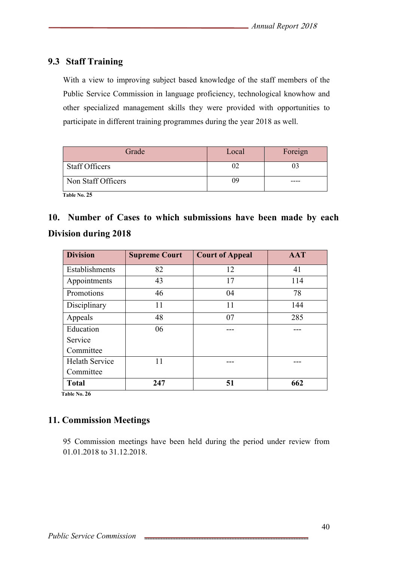# **9.3 Staff Training**

With a view to improving subject based knowledge of the staff members of the Public Service Commission in language proficiency, technological knowhow and other specialized management skills they were provided with opportunities to participate in different training programmes during the year 2018 as well.

| Grade                 | Local | Foreign |
|-----------------------|-------|---------|
| <b>Staff Officers</b> |       |         |
| Non Staff Officers    | NG    |         |
| Table No. 25          |       |         |

# **10. Number of Cases to which submissions have been made by each Division during 2018**

| <b>Division</b>       | <b>Supreme Court</b> | <b>Court of Appeal</b> | <b>AAT</b> |
|-----------------------|----------------------|------------------------|------------|
| Establishments        | 82                   | 12                     | 41         |
| Appointments          | 43                   | 17                     | 114        |
| Promotions            | 46                   | 04                     | 78         |
| Disciplinary          | 11                   | 11                     | 144        |
| Appeals               | 48                   | 07                     | 285        |
| Education             | 06                   |                        |            |
| Service               |                      |                        |            |
| Committee             |                      |                        |            |
| <b>Helath Service</b> | 11                   |                        |            |
| Committee             |                      |                        |            |
| <b>Total</b>          | 247                  | 51                     | 662        |

 **Table No. 26** 

# **11. Commission Meetings**

95 Commission meetings have been held during the period under review from 01.01.2018 to 31.12.2018.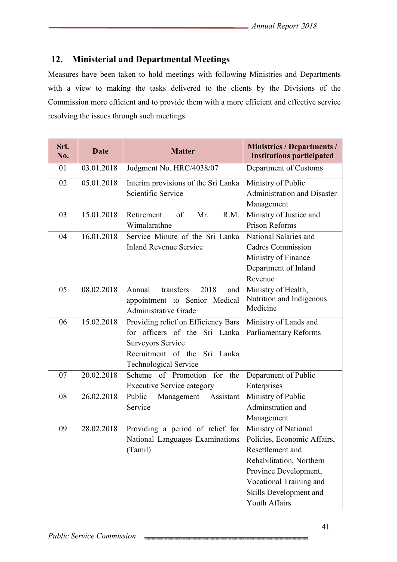# **12. Ministerial and Departmental Meetings**

Measures have been taken to hold meetings with following Ministries and Departments with a view to making the tasks delivered to the clients by the Divisions of the Commission more efficient and to provide them with a more efficient and effective service resolving the issues through such meetings.

| Srl.<br>No. | <b>Date</b> | <b>Matter</b>                       | <b>Ministries / Departments /</b><br><b>Institutions participated</b> |
|-------------|-------------|-------------------------------------|-----------------------------------------------------------------------|
| 01          | 03.01.2018  | Judgment No. HRC/4038/07            | Department of Customs                                                 |
| 02          | 05.01.2018  | Interim provisions of the Sri Lanka | Ministry of Public                                                    |
|             |             | Scientific Service                  | Administration and Disaster                                           |
|             |             |                                     | Management                                                            |
| 03          | 15.01.2018  | Retirement<br>of<br>Mr.<br>R.M.     | Ministry of Justice and                                               |
|             |             | Wimalarathne                        | Prison Reforms                                                        |
| 04          | 16.01.2018  | Service Minute of the Sri Lanka     | National Salaries and                                                 |
|             |             | <b>Inland Revenue Service</b>       | Cadres Commission                                                     |
|             |             |                                     | Ministry of Finance                                                   |
|             |             |                                     | Department of Inland                                                  |
|             |             |                                     | Revenue                                                               |
| 05          | 08.02.2018  | 2018<br>Annual<br>transfers<br>and  | Ministry of Health,                                                   |
|             |             | appointment to Senior Medical       | Nutrition and Indigenous                                              |
|             |             | <b>Administrative Grade</b>         | Medicine                                                              |
| 06          | 15.02.2018  | Providing relief on Efficiency Bars | Ministry of Lands and                                                 |
|             |             | for officers of the Sri Lanka       | <b>Parliamentary Reforms</b>                                          |
|             |             | <b>Surveyors Service</b>            |                                                                       |
|             |             | Recruitment of the Sri Lanka        |                                                                       |
|             |             | <b>Technological Service</b>        |                                                                       |
| 07          | 20.02.2018  | Scheme of Promotion for the         | Department of Public                                                  |
|             |             | <b>Executive Service category</b>   | Enterprises                                                           |
| 08          | 26.02.2018  | Public<br>Management<br>Assistant   | Ministry of Public                                                    |
|             |             | Service                             | Adminstration and                                                     |
|             |             |                                     | Management                                                            |
| 09          | 28.02.2018  | Providing a period of relief for    | Ministry of National                                                  |
|             |             | National Languages Examinations     | Policies, Economic Affairs,                                           |
|             |             | (Tamil)                             | Resettlement and                                                      |
|             |             |                                     | Rehabilitation, Northern                                              |
|             |             |                                     | Province Development,                                                 |
|             |             |                                     | Vocational Training and                                               |
|             |             |                                     | Skills Development and                                                |
|             |             |                                     | Youth Affairs                                                         |

------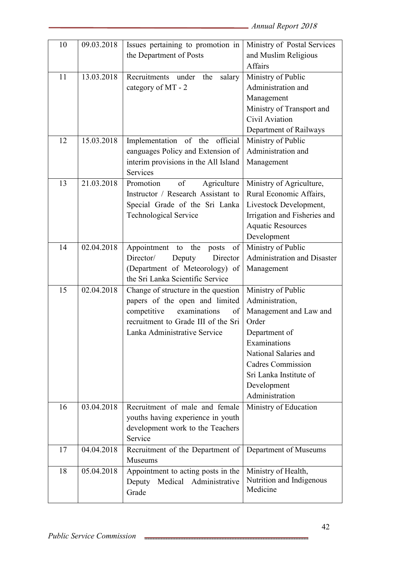| 10 | 09.03.2018 | Issues pertaining to promotion in    | Ministry of Postal Services  |
|----|------------|--------------------------------------|------------------------------|
|    |            | the Department of Posts              | and Muslim Religious         |
|    |            |                                      | <b>Affairs</b>               |
| 11 | 13.03.2018 | Recruitments under<br>salary<br>the  | Ministry of Public           |
|    |            | category of MT - 2                   | Administration and           |
|    |            |                                      | Management                   |
|    |            |                                      | Ministry of Transport and    |
|    |            |                                      | Civil Aviation               |
|    |            |                                      | Department of Railways       |
| 12 | 15.03.2018 | Implementation of the<br>official    | Ministry of Public           |
|    |            | eanguages Policy and Extension of    | Administration and           |
|    |            | interim provisions in the All Island | Management                   |
|    |            | Services                             |                              |
| 13 | 21.03.2018 | Promotion<br>Agriculture<br>of       | Ministry of Agriculture,     |
|    |            | Instructor / Research Assistant to   | Rural Economic Affairs,      |
|    |            | Special Grade of the Sri Lanka       | Livestock Development,       |
|    |            | <b>Technological Service</b>         | Irrigation and Fisheries and |
|    |            |                                      | <b>Aquatic Resources</b>     |
|    |            |                                      | Development                  |
| 14 | 02.04.2018 | Appointment to the posts<br>of       | Ministry of Public           |
|    |            | Director/<br>Deputy<br>Director      | Administration and Disaster  |
|    |            | (Department of Meteorology) of       | Management                   |
|    |            | the Sri Lanka Scientific Service     |                              |
| 15 | 02.04.2018 | Change of structure in the question  | Ministry of Public           |
|    |            | papers of the open and limited       | Administration,              |
|    |            | competitive<br>examinations<br>of    | Management and Law and       |
|    |            | recruitment to Grade III of the Sri  | Order                        |
|    |            | Lanka Administrative Service         | Department of                |
|    |            |                                      | Examinations                 |
|    |            |                                      | National Salaries and        |
|    |            |                                      | <b>Cadres Commission</b>     |
|    |            |                                      | Sri Lanka Institute of       |
|    |            |                                      | Development                  |
|    |            |                                      | Administration               |
| 16 | 03.04.2018 | Recruitment of male and female       | Ministry of Education        |
|    |            | youths having experience in youth    |                              |
|    |            | development work to the Teachers     |                              |
|    |            | Service                              |                              |
| 17 | 04.04.2018 | Recruitment of the Department of     | Department of Museums        |
|    |            | Museums                              |                              |
| 18 | 05.04.2018 | Appointment to acting posts in the   | Ministry of Health,          |
|    |            | Deputy<br>Medical Administrative     | Nutrition and Indigenous     |
|    |            | Grade                                | Medicine                     |
|    |            |                                      |                              |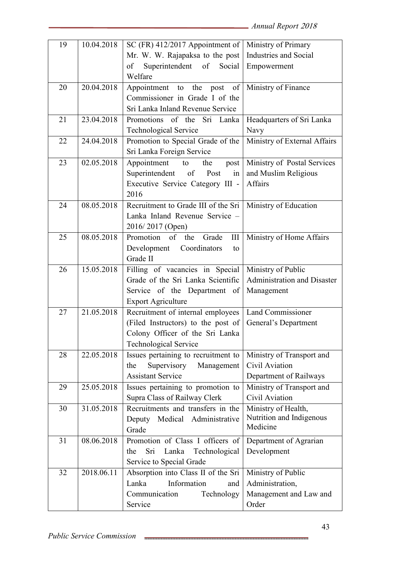| 19 | 10.04.2018 | SC (FR) 412/2017 Appointment of   Ministry of Primary |                              |
|----|------------|-------------------------------------------------------|------------------------------|
|    |            | Mr. W. W. Rajapaksa to the post                       | <b>Industries and Social</b> |
|    |            | Superintendent of<br>Social<br>of                     | Empowerment                  |
|    |            | Welfare                                               |                              |
| 20 | 20.04.2018 | Appointment to the post of                            | Ministry of Finance          |
|    |            | Commissioner in Grade I of the                        |                              |
|    |            | Sri Lanka Inland Revenue Service                      |                              |
| 21 | 23.04.2018 | Promotions of the Sri Lanka                           | Headquarters of Sri Lanka    |
|    |            | <b>Technological Service</b>                          | Navy                         |
| 22 | 24.04.2018 | Promotion to Special Grade of the                     | Ministry of External Affairs |
|    |            | Sri Lanka Foreign Service                             |                              |
| 23 | 02.05.2018 | Appointment to<br>the post                            | Ministry of Postal Services  |
|    |            | Superintendent of Post<br>in                          | and Muslim Religious         |
|    |            | Executive Service Category III -                      | Affairs                      |
|    |            | 2016                                                  |                              |
| 24 | 08.05.2018 | Recruitment to Grade III of the Sri                   | Ministry of Education        |
|    |            | Lanka Inland Revenue Service -                        |                              |
|    |            | 2016/2017 (Open)                                      |                              |
| 25 | 08.05.2018 | Promotion of<br>III<br>the Grade                      | Ministry of Home Affairs     |
|    |            | Development Coordinators<br>to                        |                              |
|    |            | Grade II                                              |                              |
| 26 | 15.05.2018 | Filling of vacancies in Special                       | Ministry of Public           |
|    |            | Grade of the Sri Lanka Scientific                     | Administration and Disaster  |
|    |            | Service of the Department of                          | Management                   |
|    |            | <b>Export Agriculture</b>                             |                              |
| 27 | 21.05.2018 | Recruitment of internal employees                     | <b>Land Commissioner</b>     |
|    |            | (Filed Instructors) to the post of                    | General's Department         |
|    |            | Colony Officer of the Sri Lanka                       |                              |
|    |            | <b>Technological Service</b>                          |                              |
| 28 | 22.05.2018 | Issues pertaining to recruitment to                   | Ministry of Transport and    |
|    |            | Supervisory<br>Management<br>the                      | Civil Aviation               |
|    |            | <b>Assistant Service</b>                              | Department of Railways       |
| 29 | 25.05.2018 | Issues pertaining to promotion to                     | Ministry of Transport and    |
|    |            | Supra Class of Railway Clerk                          | Civil Aviation               |
| 30 | 31.05.2018 | Recruitments and transfers in the                     | Ministry of Health,          |
|    |            | Deputy Medical Administrative                         | Nutrition and Indigenous     |
|    |            | Grade                                                 | Medicine                     |
| 31 | 08.06.2018 | Promotion of Class I officers of                      | Department of Agrarian       |
|    |            | Sri<br>Lanka<br>Technological<br>the                  | Development                  |
|    |            | Service to Special Grade                              |                              |
| 32 | 2018.06.11 | Absorption into Class II of the Sri                   | Ministry of Public           |
|    |            | Lanka<br>Information<br>and                           | Administration,              |
|    |            | Communication                                         |                              |
|    |            | Technology                                            | Management and Law and       |
|    |            | Service                                               | Order                        |

----------------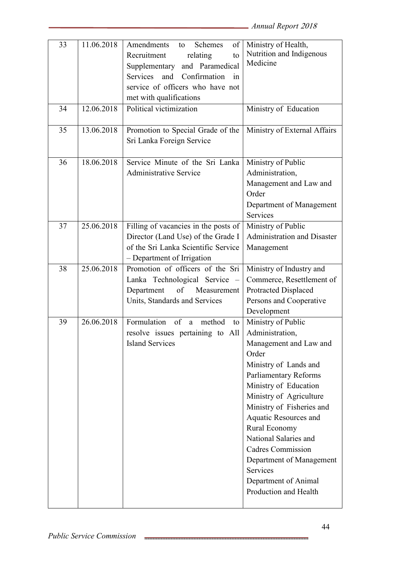*Annual Report* <sup>2018</sup>

| 33 | 11.06.2018 | Schemes<br>Amendments<br>of<br>to<br>Recruitment<br>relating<br>to<br>and Paramedical<br>Supplementary<br>Services<br>Confirmation<br>and<br>1n<br>service of officers who have not<br>met with qualifications | Ministry of Health,<br>Nutrition and Indigenous<br>Medicine                                                                                                                                                                                                                                                                                                                                                |
|----|------------|----------------------------------------------------------------------------------------------------------------------------------------------------------------------------------------------------------------|------------------------------------------------------------------------------------------------------------------------------------------------------------------------------------------------------------------------------------------------------------------------------------------------------------------------------------------------------------------------------------------------------------|
| 34 | 12.06.2018 | Political victimization                                                                                                                                                                                        | Ministry of Education                                                                                                                                                                                                                                                                                                                                                                                      |
| 35 | 13.06.2018 | Promotion to Special Grade of the<br>Sri Lanka Foreign Service                                                                                                                                                 | Ministry of External Affairs                                                                                                                                                                                                                                                                                                                                                                               |
| 36 | 18.06.2018 | Service Minute of the Sri Lanka<br><b>Administrative Service</b>                                                                                                                                               | Ministry of Public<br>Administration,<br>Management and Law and<br>Order<br>Department of Management<br>Services                                                                                                                                                                                                                                                                                           |
| 37 | 25.06.2018 | Filling of vacancies in the posts of<br>Director (Land Use) of the Grade I<br>of the Sri Lanka Scientific Service<br>- Department of Irrigation                                                                | Ministry of Public<br><b>Administration and Disaster</b><br>Management                                                                                                                                                                                                                                                                                                                                     |
| 38 | 25.06.2018 | Promotion of officers of the Sri<br>Lanka Technological Service -<br>Department<br>of<br>Measurement<br>Units, Standards and Services                                                                          | Ministry of Industry and<br>Commerce, Resettlement of<br>Protracted Displaced<br>Persons and Cooperative<br>Development                                                                                                                                                                                                                                                                                    |
| 39 | 26.06.2018 | Formulation<br>method<br>of<br>a<br>to<br>resolve issues pertaining to All<br><b>Island Services</b>                                                                                                           | Ministry of Public<br>Administration,<br>Management and Law and<br>Order<br>Ministry of Lands and<br><b>Parliamentary Reforms</b><br>Ministry of Education<br>Ministry of Agriculture<br>Ministry of Fisheries and<br>Aquatic Resources and<br>Rural Economy<br>National Salaries and<br>Cadres Commission<br>Department of Management<br><b>Services</b><br>Department of Animal<br>Production and Health |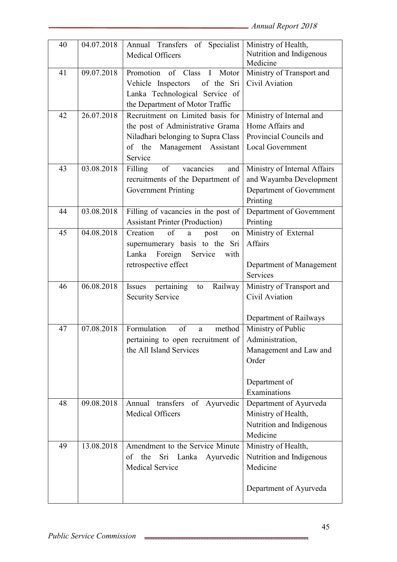*Annual Report* <sup>2018</sup>

| 40 | 04.07.2018 | Annual Transfers of Specialist                                                                                         | Ministry of Health,                                |
|----|------------|------------------------------------------------------------------------------------------------------------------------|----------------------------------------------------|
|    |            | <b>Medical Officers</b>                                                                                                | Nutrition and Indigenous                           |
| 41 | 09.07.2018 | Promotion of Class I Motor                                                                                             | Medicine                                           |
|    |            |                                                                                                                        | Ministry of Transport and<br><b>Civil Aviation</b> |
|    |            | Vehicle Inspectors<br>of the Sri                                                                                       |                                                    |
|    |            | Lanka Technological Service of                                                                                         |                                                    |
|    |            | the Department of Motor Traffic                                                                                        |                                                    |
| 42 | 26.07.2018 | Recruitment on Limited basis for                                                                                       | Ministry of Internal and                           |
|    |            | the post of Administrative Grama                                                                                       | Home Affairs and                                   |
|    |            | Niladhari belonging to Supra Class                                                                                     | Provincial Councils and                            |
|    |            | Management Assistant<br>the<br>of                                                                                      | <b>Local Government</b>                            |
|    |            | Service                                                                                                                |                                                    |
| 43 | 03.08.2018 | of<br>vacancies<br>Filling<br>and                                                                                      | Ministry of Internal Affairs                       |
|    |            | recruitments of the Department of                                                                                      | and Wayamba Development                            |
|    |            | <b>Government Printing</b>                                                                                             | Department of Government                           |
|    |            |                                                                                                                        | Printing                                           |
| 44 | 03.08.2018 | Filling of vacancies in the post of                                                                                    | Department of Government                           |
|    |            | <b>Assistant Printer (Production)</b>                                                                                  | Printing                                           |
| 45 | 04.08.2018 | Creation<br>of<br>post<br>a<br>on                                                                                      | Ministry of External                               |
|    |            | supernumerary basis to the<br>Sri                                                                                      | Affairs                                            |
|    |            | Foreign<br>Lanka<br>Service<br>with                                                                                    |                                                    |
|    |            | retrospective effect                                                                                                   | Department of Management                           |
|    |            |                                                                                                                        | Services                                           |
| 46 | 06.08.2018 | Issues<br>pertaining<br>Railway<br>to                                                                                  | Ministry of Transport and                          |
|    |            | <b>Security Service</b>                                                                                                | Civil Aviation                                     |
|    |            |                                                                                                                        |                                                    |
|    |            |                                                                                                                        | Department of Railways                             |
| 47 | 07.08.2018 | Formulation<br>$% \left( \left( \mathcal{A},\mathcal{A}\right) \right) =\left( \mathcal{A},\mathcal{A}\right)$ of<br>a | method   Ministry of Public                        |
|    |            | pertaining to open recruitment of                                                                                      | Administration,                                    |
|    |            | the All Island Services                                                                                                | Management and Law and                             |
|    |            |                                                                                                                        | Order                                              |
|    |            |                                                                                                                        |                                                    |
|    |            |                                                                                                                        | Department of                                      |
|    |            |                                                                                                                        | Examinations                                       |
| 48 | 09.08.2018 | Annual transfers of Ayurvedic                                                                                          | Department of Ayurveda                             |
|    |            | <b>Medical Officers</b>                                                                                                | Ministry of Health,                                |
|    |            |                                                                                                                        | Nutrition and Indigenous                           |
|    |            |                                                                                                                        | Medicine                                           |
| 49 | 13.08.2018 | Amendment to the Service Minute                                                                                        | Ministry of Health,                                |
|    |            | of the<br>Sri Lanka<br>Ayurvedic                                                                                       | Nutrition and Indigenous                           |
|    |            | <b>Medical Service</b>                                                                                                 | Medicine                                           |
|    |            |                                                                                                                        |                                                    |
|    |            |                                                                                                                        | Department of Ayurveda                             |
|    |            |                                                                                                                        |                                                    |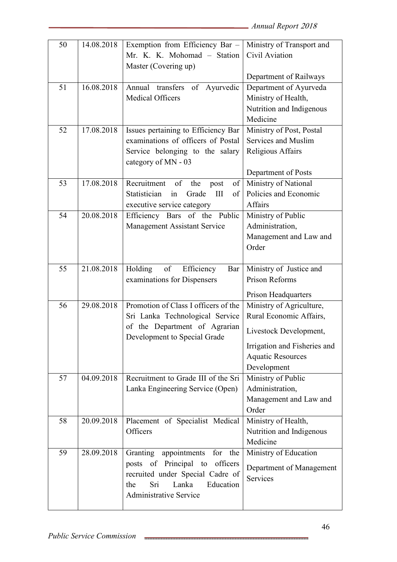| 50 | 14.08.2018 | Exemption from Efficiency Bar -          | Ministry of Transport and    |
|----|------------|------------------------------------------|------------------------------|
|    |            | Mr. K. K. Mohomad - Station              | Civil Aviation               |
|    |            | Master (Covering up)                     |                              |
|    |            |                                          | Department of Railways       |
| 51 | 16.08.2018 | Annual transfers of Ayurvedic            | Department of Ayurveda       |
|    |            | <b>Medical Officers</b>                  | Ministry of Health,          |
|    |            |                                          | Nutrition and Indigenous     |
|    |            |                                          | Medicine                     |
| 52 | 17.08.2018 | Issues pertaining to Efficiency Bar      | Ministry of Post, Postal     |
|    |            | examinations of officers of Postal       | Services and Muslim          |
|    |            | Service belonging to the salary          | Religious Affairs            |
|    |            | category of MN - 03                      |                              |
|    |            |                                          | Department of Posts          |
| 53 | 17.08.2018 | Recruitment<br>of the<br>of<br>post      | Ministry of National         |
|    |            | Statistician<br>III<br>of<br>Grade<br>1n | Policies and Economic        |
|    |            | executive service category               | Affairs                      |
| 54 | 20.08.2018 | Efficiency Bars of the Public            | Ministry of Public           |
|    |            | Management Assistant Service             | Administration,              |
|    |            |                                          | Management and Law and       |
|    |            |                                          | Order                        |
|    |            |                                          |                              |
| 55 | 21.08.2018 | Holding<br>of<br>Efficiency<br>Bar       | Ministry of Justice and      |
|    |            | examinations for Dispensers              | Prison Reforms               |
|    |            |                                          | Prison Headquarters          |
| 56 | 29.08.2018 | Promotion of Class I officers of the     | Ministry of Agriculture,     |
|    |            | Sri Lanka Technological Service          | Rural Economic Affairs,      |
|    |            | of the Department of Agrarian            | Livestock Development,       |
|    |            | Development to Special Grade             | Irrigation and Fisheries and |
|    |            |                                          | <b>Aquatic Resources</b>     |
|    |            |                                          | Development                  |
| 57 | 04.09.2018 | Recruitment to Grade III of the Sri      | Ministry of Public           |
|    |            | Lanka Engineering Service (Open)         | Administration,              |
|    |            |                                          | Management and Law and       |
|    |            |                                          | Order                        |
| 58 | 20.09.2018 | Placement of Specialist Medical          | Ministry of Health,          |
|    |            | Officers                                 | Nutrition and Indigenous     |
|    |            |                                          | Medicine                     |
| 59 | 28.09.2018 | Granting appointments<br>for the         | Ministry of Education        |
|    |            | posts of Principal to officers           |                              |
|    |            | recruited under Special Cadre of         | Department of Management     |
|    |            | Lanka<br>Education<br>Sri<br>the         | Services                     |
|    |            | <b>Administrative Service</b>            |                              |
|    |            |                                          |                              |

.<br>The state was not the state was the state of the state was not the state was not the state was the state of th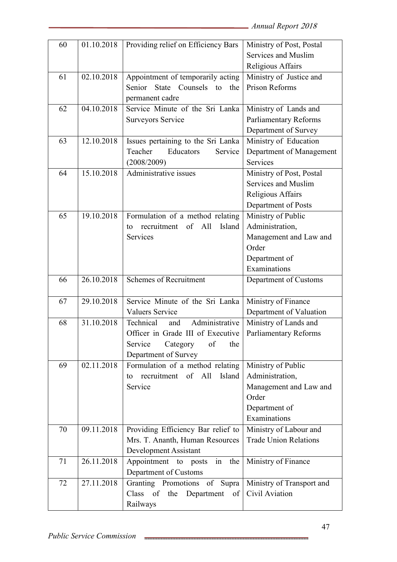| 60 | 01.10.2018 | Providing relief on Efficiency Bars      | Ministry of Post, Postal     |
|----|------------|------------------------------------------|------------------------------|
|    |            |                                          | Services and Muslim          |
|    |            |                                          | Religious Affairs            |
| 61 | 02.10.2018 | Appointment of temporarily acting        | Ministry of Justice and      |
|    |            | State Counsels to<br>Senior<br>the       | Prison Reforms               |
|    |            | permanent cadre                          |                              |
| 62 | 04.10.2018 | Service Minute of the Sri Lanka          | Ministry of Lands and        |
|    |            | <b>Surveyors Service</b>                 | <b>Parliamentary Reforms</b> |
|    |            |                                          | Department of Survey         |
| 63 | 12.10.2018 | Issues pertaining to the Sri Lanka       | Ministry of Education        |
|    |            | Teacher<br>Educators<br>Service          | Department of Management     |
|    |            | (2008/2009)                              | Services                     |
| 64 | 15.10.2018 | Administrative issues                    | Ministry of Post, Postal     |
|    |            |                                          | Services and Muslim          |
|    |            |                                          | Religious Affairs            |
|    |            |                                          | Department of Posts          |
| 65 | 19.10.2018 | Formulation of a method relating         | Ministry of Public           |
|    |            | recruitment<br>of<br>All<br>Island<br>to | Administration,              |
|    |            | Services                                 | Management and Law and       |
|    |            |                                          | Order                        |
|    |            |                                          | Department of                |
|    |            |                                          | Examinations                 |
| 66 | 26.10.2018 | <b>Schemes of Recruitment</b>            | Department of Customs        |
|    |            |                                          |                              |
| 67 | 29.10.2018 | Service Minute of the Sri Lanka          | Ministry of Finance          |
|    |            | <b>Valuers Service</b>                   | Department of Valuation      |
| 68 | 31.10.2018 | Administrative<br>Technical<br>and       | Ministry of Lands and        |
|    |            | Officer in Grade III of Executive        | <b>Parliamentary Reforms</b> |
|    |            | Service<br>Category<br>of<br>the         |                              |
|    |            | Department of Survey                     |                              |
| 69 | 02.11.2018 | Formulation of a method relating         | Ministry of Public           |
|    |            | recruitment of All<br>Island<br>to       | Administration,              |
|    |            | Service                                  | Management and Law and       |
|    |            |                                          | Order                        |
|    |            |                                          | Department of                |
|    |            |                                          | Examinations                 |
| 70 | 09.11.2018 | Providing Efficiency Bar relief to       | Ministry of Labour and       |
|    |            | Mrs. T. Ananth, Human Resources          | <b>Trade Union Relations</b> |
|    |            | Development Assistant                    |                              |
| 71 | 26.11.2018 | Appointment to posts in<br>the           | Ministry of Finance          |
|    |            | Department of Customs                    |                              |
| 72 | 27.11.2018 | Granting Promotions of Supra             | Ministry of Transport and    |
|    |            | Class<br>of the<br>Department of         | Civil Aviation               |
|    |            | Railways                                 |                              |
|    |            |                                          |                              |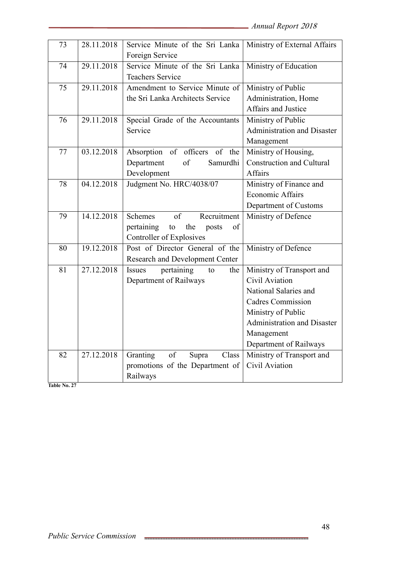| 73 | 28.11.2018 | Service Minute of the Sri Lanka           | Ministry of External Affairs       |
|----|------------|-------------------------------------------|------------------------------------|
|    |            | Foreign Service                           |                                    |
| 74 | 29.11.2018 | Service Minute of the Sri Lanka           | Ministry of Education              |
|    |            | <b>Teachers Service</b>                   |                                    |
| 75 | 29.11.2018 | Amendment to Service Minute of            | Ministry of Public                 |
|    |            | the Sri Lanka Architects Service          | Administration, Home               |
|    |            |                                           | Affairs and Justice                |
| 76 | 29.11.2018 | Special Grade of the Accountants          | Ministry of Public                 |
|    |            | Service                                   | <b>Administration and Disaster</b> |
|    |            |                                           | Management                         |
| 77 | 03.12.2018 | Absorption of officers of the             | Ministry of Housing,               |
|    |            | Department<br>of<br>Samurdhi              | <b>Construction and Cultural</b>   |
|    |            | Development                               | Affairs                            |
| 78 | 04.12.2018 | Judgment No. HRC/4038/07                  | Ministry of Finance and            |
|    |            |                                           | <b>Economic Affairs</b>            |
|    |            |                                           | Department of Customs              |
| 79 | 14.12.2018 | <b>Schemes</b><br>$\sigma$<br>Recruitment | Ministry of Defence                |
|    |            | pertaining<br>to<br>the<br>posts<br>of    |                                    |
|    |            | Controller of Explosives                  |                                    |
| 80 | 19.12.2018 | Post of Director General of the           | Ministry of Defence                |
|    |            | Research and Development Center           |                                    |
| 81 | 27.12.2018 | pertaining<br>Issues<br>the<br>to         | Ministry of Transport and          |
|    |            | Department of Railways                    | Civil Aviation                     |
|    |            |                                           | National Salaries and              |
|    |            |                                           | <b>Cadres Commission</b>           |
|    |            |                                           | Ministry of Public                 |
|    |            |                                           | <b>Administration and Disaster</b> |
|    |            |                                           | Management                         |
|    |            |                                           | Department of Railways             |
| 82 | 27.12.2018 | Granting<br>Class<br>of<br>Supra          | Ministry of Transport and          |
|    |            | promotions of the Department of           | Civil Aviation                     |
|    |            | Railways                                  |                                    |

**Table No. 27**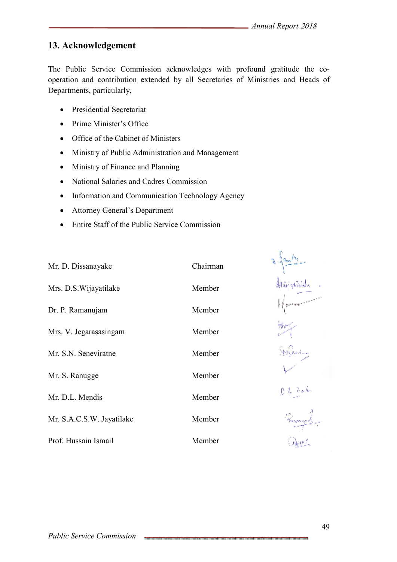## **13. Acknowledgement**

The Public Service Commission acknowledges with profound gratitude the cooperation and contribution extended by all Secretaries of Ministries and Heads of Departments, particularly,

- Presidential Secretariat
- Prime Minister's Office
- Office of the Cabinet of Ministers
- Ministry of Public Administration and Management
- Ministry of Finance and Planning
- National Salaries and Cadres Commission
- Information and Communication Technology Agency
- Attorney General's Department
- Entire Staff of the Public Service Commission

| Mr. D. Dissanayake        | Chairman |     |
|---------------------------|----------|-----|
| Mrs. D.S. Wijayatilake    | Member   |     |
| Dr. P. Ramanujam          | Member   |     |
| Mrs. V. Jegarasasingam    | Member   |     |
| Mr. S.N. Seneviratne      | Member   |     |
| Mr. S. Ranugge            | Member   |     |
| Mr. D.L. Mendis           | Member   | 自己市 |
| Mr. S.A.C.S.W. Jayatilake | Member   |     |
| Prof. Hussain Ismail      | Member   |     |
|                           |          |     |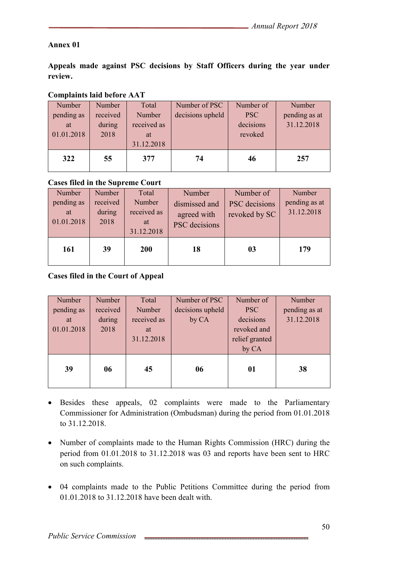#### **Annex 01**

**Appeals made against PSC decisions by Staff Officers during the year under review.** 

#### **Complaints laid before AAT**

| <b>Number</b> | Number   | Total       | Number of PSC    | Number of  | Number        |
|---------------|----------|-------------|------------------|------------|---------------|
| pending as    | received | Number      | decisions upheld | <b>PSC</b> | pending as at |
| at            | during   | received as |                  | decisions  | 31.12.2018    |
| 01.01.2018    | 2018     | at          |                  | revoked    |               |
|               |          | 31.12.2018  |                  |            |               |
| 322           | 55       | 377         | 74               | 46         | 257           |

#### **Cases filed in the Supreme Court**

| Number                         | Number                     | Total                                     | Number                                        | Number of                      | Number                      |
|--------------------------------|----------------------------|-------------------------------------------|-----------------------------------------------|--------------------------------|-----------------------------|
| pending as<br>at<br>01.01.2018 | received<br>during<br>2018 | Number<br>received as<br>at<br>31.12.2018 | dismissed and<br>agreed with<br>PSC decisions | PSC decisions<br>revoked by SC | pending as at<br>31.12.2018 |
| <b>161</b>                     | 39                         | 200                                       | 18                                            | 03                             | 179                         |

#### **Cases filed in the Court of Appeal**

| Number     | <b>Number</b> | Total       | Number of PSC    | Number of      | Number        |
|------------|---------------|-------------|------------------|----------------|---------------|
| pending as | received      | Number      | decisions upheld | <b>PSC</b>     | pending as at |
| at         | during        | received as | by CA            | decisions      | 31.12.2018    |
| 01.01.2018 | 2018          | at          |                  | revoked and    |               |
|            |               | 31.12.2018  |                  | relief granted |               |
|            |               |             |                  | by CA          |               |
| 39         | 06            | 45          | 06               | 01             | 38            |
|            |               |             |                  |                |               |
|            |               |             |                  |                |               |

- Besides these appeals, 02 complaints were made to the Parliamentary Commissioner for Administration (Ombudsman) during the period from 01.01.2018 to 31.12.2018.
- Number of complaints made to the Human Rights Commission (HRC) during the period from 01.01.2018 to 31.12.2018 was 03 and reports have been sent to HRC on such complaints.
- 04 complaints made to the Public Petitions Committee during the period from 01.01.2018 to 31.12.2018 have been dealt with.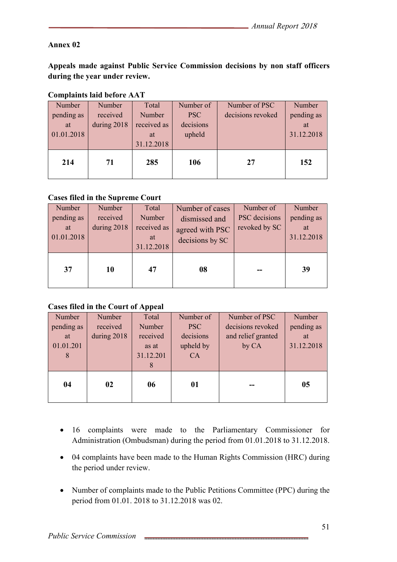#### **Annex 02**

**Appeals made against Public Service Commission decisions by non staff officers during the year under review.** 

| Number<br>pending as<br>at<br>01.01.2018 | Number<br>received<br>during $2018$ | Total<br>Number<br>received as<br>at<br>31.12.2018 | Number of<br><b>PSC</b><br>decisions<br>upheld | Number of PSC<br>decisions revoked | Number<br>pending as<br>at<br>31.12.2018 |
|------------------------------------------|-------------------------------------|----------------------------------------------------|------------------------------------------------|------------------------------------|------------------------------------------|
| 214                                      | 71                                  | 285                                                | 106                                            | 27                                 | 152                                      |

#### **Complaints laid before AAT**

#### **Cases filed in the Supreme Court**

| Number<br>pending as<br>at<br>01.01.2018 | Number<br>received<br>during $2018$ | Total<br>Number<br>received as<br>at<br>31.12.2018 | Number of cases<br>dismissed and<br>agreed with PSC<br>decisions by SC | Number of<br>PSC decisions<br>revoked by SC | Number<br>pending as<br>at<br>31.12.2018 |
|------------------------------------------|-------------------------------------|----------------------------------------------------|------------------------------------------------------------------------|---------------------------------------------|------------------------------------------|
| 37                                       | 10                                  | 47                                                 | 08                                                                     |                                             | 39                                       |

#### **Cases filed in the Court of Appeal**

| Number     | Number      | Total     | Number of  | Number of PSC      | Number     |
|------------|-------------|-----------|------------|--------------------|------------|
| pending as | received    | Number    | <b>PSC</b> | decisions revoked  | pending as |
| at         | during 2018 | received  | decisions  | and relief granted | at         |
| 01.01.201  |             | as at     | upheld by  | by CA              | 31.12.2018 |
| 8          |             | 31.12.201 | CA         |                    |            |
|            |             | 8         |            |                    |            |
|            |             |           |            |                    |            |
| 04         | 02          | 06        | 01         |                    | 05         |
|            |             |           |            |                    |            |

- 16 complaints were made to the Parliamentary Commissioner for Administration (Ombudsman) during the period from 01.01.2018 to 31.12.2018.
- 04 complaints have been made to the Human Rights Commission (HRC) during the period under review.
- Number of complaints made to the Public Petitions Committee (PPC) during the period from 01.01. 2018 to 31.12.2018 was 02.